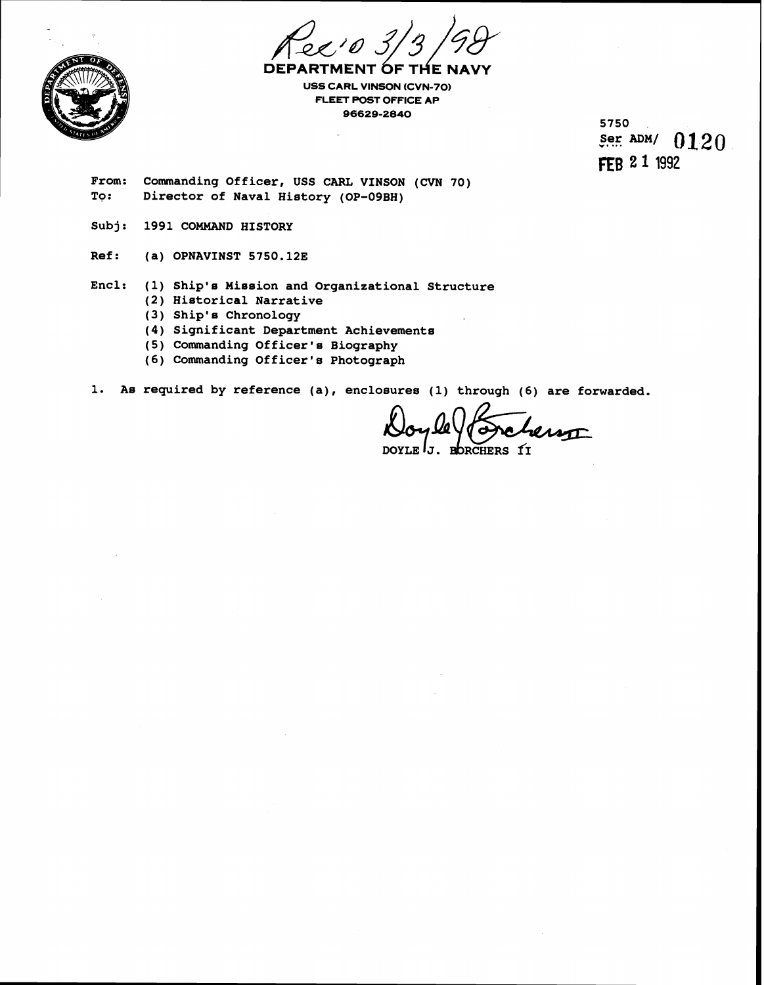



**DEPARTME OF** THE NA **USS CARL VINSON (CVN-70) FLEET POST OFFICE AP 961629-2840** 

5750 Ser ADM/  $0120$ FEB 2 1 1992

**From: Commanding Officer, USS CARL VINSON (CVN 70) To: Director of Naval History (OP-09BH)** 

- **Subj: 1991 COMMAND HISTORY**
- **Ref: (a) OPNAVINST 5750.123**
- Encl: (1) Ship's Mission and Organizational Structure
	- **(2) Historical Narrative**
	- **(3) Ship'a Chronology**
	- **(4) Significant Department Achievement6**
	- **(5) Commanding Officer's Biography**
	- **(6) Commanding Officer's Photograph**

1. As required by reference (a), enclosures (1) through (6) are forwarded.

**DOYLE** J. **RORCHERS f1**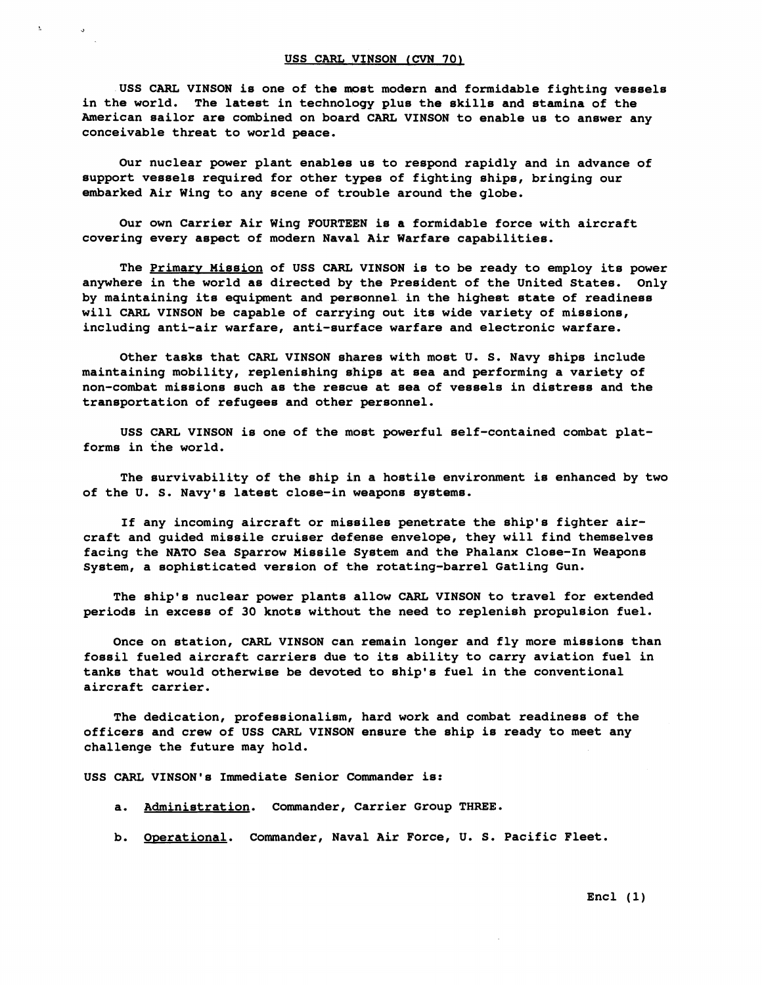**USS CARL VINSON is one of the most modern and formidable fighting vessels in the world. The latest in technology plus the skills and stamina of the American sailor are combined on board CARL VINSON to enable us to answer any conceivable threat to world peace.** 

**Our nuclear power plant enables us to respond rapidly and in advance of support vessels required for other types of fighting ships, bringing our embarked Air Wing to any scene of trouble around the globe.** 

**Our own Carrier Air Wing FOURTEEN is a formidable force with aircraft covering every aspect of modern Naval Air Warfare capabilities.** 

**The primary Mission of USS CARL VINSON is to be ready to employ its power anywhere in the world as directed by the President of the United States. Only**  by maintaining its equipment and personnel in the highest state of readiness **will CARL VINSON be capable of carrying out its wide variety of missions,**  including anti-air warfare, anti-surface warfare and electronic warfare.

Other tasks that CARL VINSON shares with most U. S. Navy ships include **maintaining mobility, replenishing sbips at sea and performing a variety of non-combat missions such as the rescue at sea of vessels in distress and the transportation of refugees and other personnel.** 

**USS CARL VINSON is one of the most powerful self-contained combat platforms in the world.** 

**The survivability of the ship im a hostile environment is enhanced by two of the U. S. Navy's latest close-in weapons systems.** 

If any incoming aircraft or missiles penetrate the ship's fighter air**craft and guided missile cruiser defense envelope, they will find themselves facing the NATO Sea Sparrow Missile System and the Phalanx Close-In Weapons system, a sophisticated version of the rotating-barrel Gatling Gun.** 

**The ship's nuclear power plants allow CARL VINSON to travel for extended periods in excess of 30 knots without the need to replenish propulsion fuel.** 

**Once on station, CARL VINSON can remain longer and fly more missions than fossil fueled aircraft carriers due to its ability to carry aviation fuel in tanks that would otherwise be devoteld to ship's fuel in the conventional aircraft carrier.** 

**The dedication, professionalism, hard work and combat readiness of the officers and crew of USS CARL VINSON ensure the ship is ready to meet any challenge the future may hold.** 

**USS CARL VINSON's Immediate Senior Commander is:** 

- **a. Administration. Commander, Carrier Group THREE.**
- **b. Operational. Commander, Naval Air Force, U. S. Pacific Fleet.**

**Encl (1)**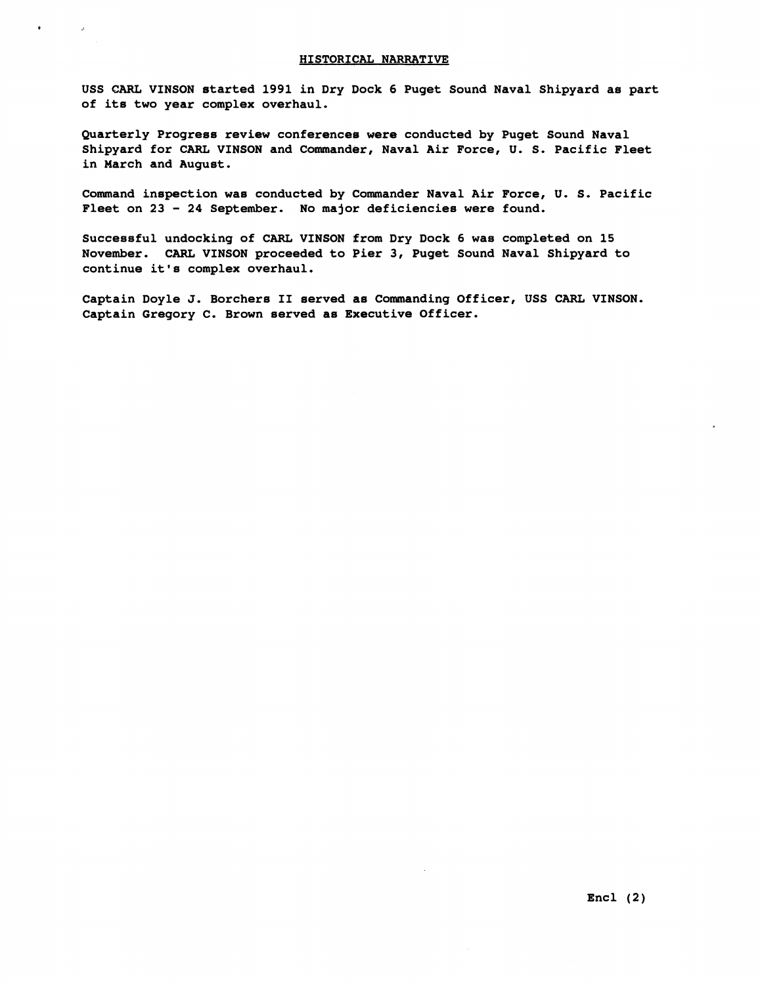## **HISTORICAL NARRATIVE**

 $\mathcal{L}$ 

**USS CARL VINSON started 1991 in Dry Dock 6 Puget Sound Naval Shipyard as part of its two year complex overhaul.** 

**Quarterly Progress review conferencee were conducted by Puget Sound Naval**  Shipyard for CARL VINSON and Commander, Naval Air Force, U. S. Pacific Fleet **in March and August.** 

**Command inspection was conducted by Commander Naval Air Force, U. S. Pacific Fleet on 23** - **24 September. No major deficiencies were found.** 

**Successful undocking of CARL VINSON from Dry Dock 6 was completed on 15 November. CARL VINSON proceeded to Pier 3, Puget Sound Naval Shipyard to continue it's complex overhaul.** 

**Captain Doyle J. Borchers I1 served as Commanding Officer, USS CARL VINSON. Captain Gregory C. Brown served as Executive Officer.**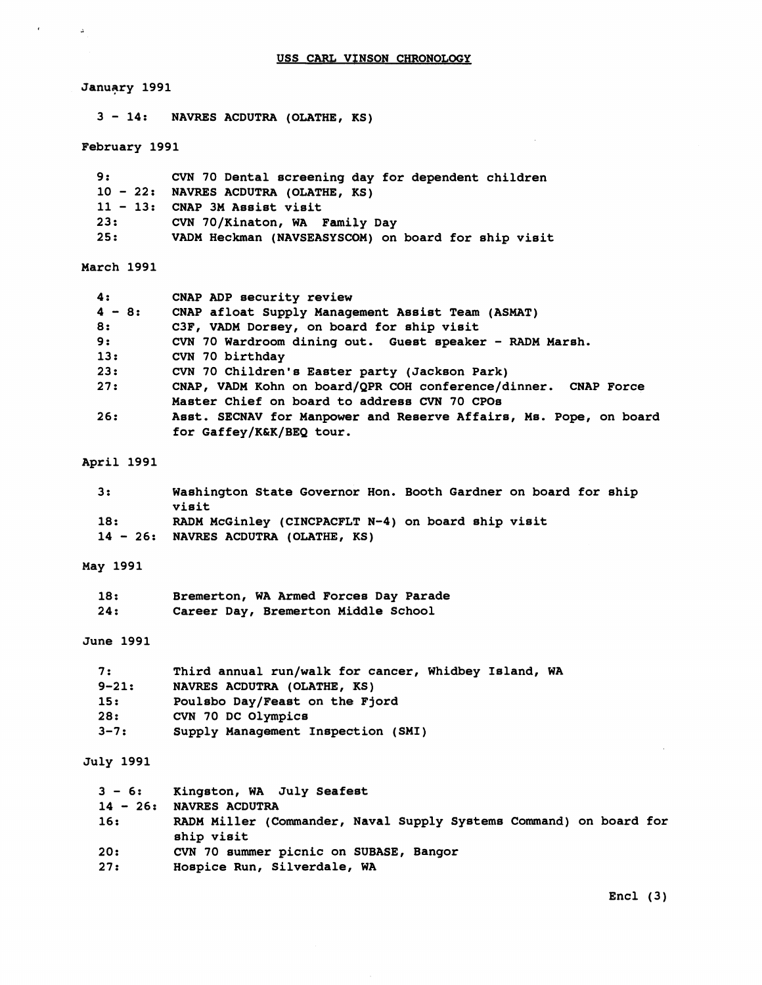# **<sup>3</sup>**- **14: NAVRES ACDUTRA (OLATHE, KS) February 1991 <sup>9</sup>**: **CVN 70 Dental screening day for dependent children <sup>10</sup>**- **22: NAVRES ACDUTRA (OLATHE, RS) <sup>11</sup>**- **13: CNAP 3M Assist visit 23: CVN 70/Kinaton, WA Famiby Day 25: VADM Heckman (NAVSEASYSCOM) on board for ship visit March 1991**

| 4:       | CNAP ADP security review                                          |
|----------|-------------------------------------------------------------------|
| $4 - 8:$ | CNAP afloat Supply Management Assist Team (ASMAT)                 |
| 8:       | C3F, VADM Dorsey, on board for ship visit                         |
| 9:       | CVN 70 Wardroom dining out. Guest speaker - RADM Marsh.           |
| 13:      | CVN 70 birthday                                                   |
| 23:      | CVN 70 Children's Easter party (Jackson Park)                     |
| 27:      | CNAP, VADM Kohn on board/QPR COH conference/dinner. CNAP Force    |
|          | Master Chief on board to address CVN 70 CPOs                      |
| 26:      | Asst. SECNAV for Manpower and Reserve Affairs, Ms. Pope, on board |
|          | for Gaffey/K&K/BEQ tour.                                          |

# **April 1991**

 $\Delta$ 

January 1991

| з.  | Washington State Governor Hon. Booth Gardner on board for ship<br>visit                    |
|-----|--------------------------------------------------------------------------------------------|
| 18: | RADM McGinley (CINCPACFLT N-4) on board ship visit<br>14 - 26: NAVRES ACDUTRA (OLATHE, KS) |

# **May 1991**

| 18: | Bremerton, WA Armed Forces Day Parade |
|-----|---------------------------------------|
| 24: | Career Day, Bremerton Middle School   |

# **June 1991**

| 7:        | Third annual run/walk for cancer, Whidbey Island, WA |
|-----------|------------------------------------------------------|
| $9 - 21:$ | NAVRES ACDUTRA (OLATHE, KS)                          |
| 15:       | Poulsbo Day/Feast on the Fiord                       |
| 28:       | CVN 70 DC Olympics                                   |
| $3 - 7:$  | Supply Management Inspection (SMI)                   |

# **July 1991**

| $3 - 6:$<br>$14 - 26:$ | Kingston, WA July Seafest<br><b>NAVRES ACDUTRA</b>                               |
|------------------------|----------------------------------------------------------------------------------|
| 16:                    | RADM Miller (Commander, Naval Supply Systems Command) on board for<br>ship visit |
| 20:                    | CVN 70 summer picnic on SUBASE, Bangor                                           |
| 27:                    | Hospice Run, Silverdale, WA                                                      |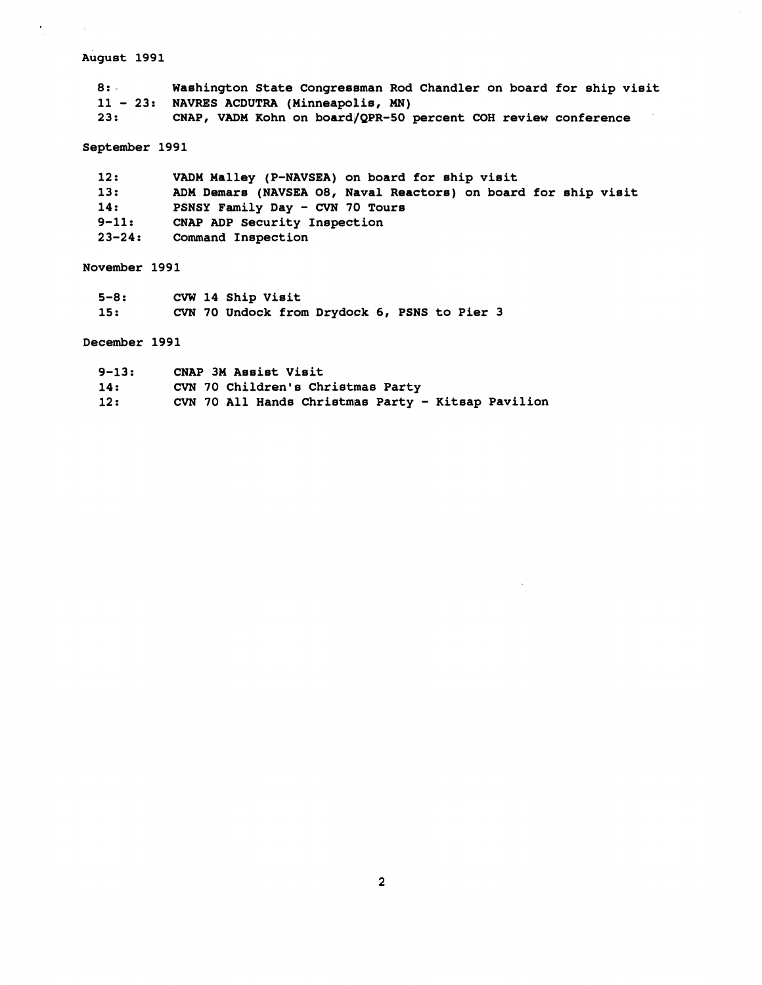# August 1991

 $\frac{1}{\sqrt{2}}$ 

 $\sim 3\%$ 

**8:** - **Waehington State Congresgman Rod Chandler on board for ship visit**  11 - 23: NAVRES ACDUTRA (Minneapolis, MN)<br>23: CNAP, VADM Kohn on board/QPR-50 **23. CNAP, VADM Kohn on board/QPR-50 percent COH review conference** 

# **September 1991**

| 12:        | VADM Malley (P-NAVSEA) on board for ship visit                 |
|------------|----------------------------------------------------------------|
| 13:        | ADM Demars (NAVSEA O8, Naval Reactors) on board for ship visit |
| 14:        | PSNSY Family Day - CVN 70 Tours                                |
| $9 - 11:$  | CNAP ADP Security Inspection                                   |
| $23 - 24:$ | Command Inspection                                             |

# **November 1991**

| $5 - 8:$ |  | CVW 14 Ship Visit |                                              |  |  |  |
|----------|--|-------------------|----------------------------------------------|--|--|--|
| 15:      |  |                   | CVN 70 Undock from Drydock 6, PSNS to Pier 3 |  |  |  |

# **December 1991**

| $9 - 13:$ | CNAP 3M Assist Visit                               |
|-----------|----------------------------------------------------|
| 14:       | CVN 70 Children's Christmas Party                  |
| 12:       | CVN 70 All Hands Christmas Party - Kitsap Pavilion |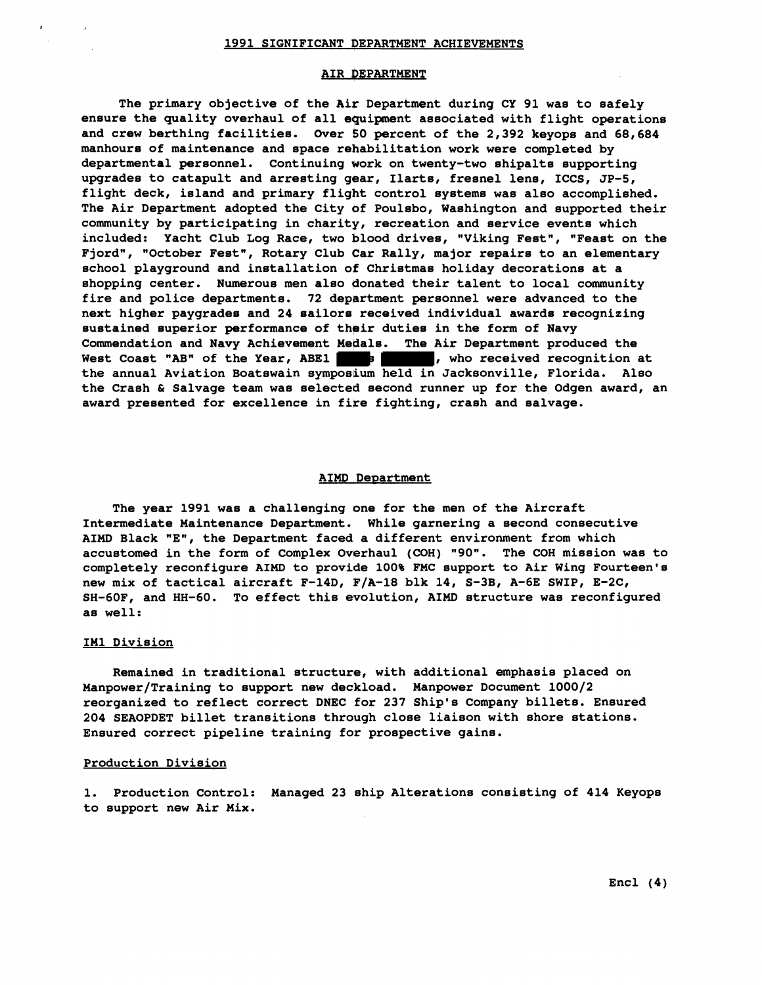#### 1991 SIGNIFICANT DEPARTMENT ACHIEVEMENTS

# AIR DEPARTMENT

**The primary objective of the Aic Department during CY 91 was to safely**  ensure the quality overhaul of all equipment associated with flight operations **and crew berthing facilities. Over \$0 percent of the 2,392 keyops and 68,684 manhours of maintenance and space rehabilitation work were completed by departmental personnel. Continuing work on twenty-two shipalts supporting upgrades to catapult and arresting gear, Ilarts, fresnel lens, ICCS, JP-5, flight deck, island and primary flight control systems was also accomplished. The Air Department adopted the City of Poulsbo, Washington and supported their community by participating in charity, recreation and service events which**  included: Yacht Club Log Race, two blood drives, "Viking Fest", "Feast on the Fjord", "October Fest", Rotary Club Car Rally, major repairs to an elementary **school playground and installation of Christmas holiday decorations at a shopping center. Numerous men also gonated their talent to local community fire and police departments. 72 department personnel were advanced to the next higher paygrades and 24 eailore received individual awards recognizing sustained superior performance of thgir duties in the form of Navy Commendation and Navy Achievement Metlala. The Air Department produced the**  West Coast "AB" of the Year, ABE1 **3 2008**, who received recognition at the annual Aviation Boatswain symposium held in Jacksonville, Florida. Also **the Crash** & **Salvage team was selected second runner up for the Odgen award, an award presented for excellence in fire fighting, crash and salvage.** 

## **AIMD Department**

**The year 1991 was a challenging one for the men of the Aircraft Intermediate Maintenance Department. While garnering a second consecutive AIMD Black "E", the Department faced a different environment from which accustomed in the form of Complex Overhaul (COH) "90". The COH mission was to completely reconfigure AIMD to provide 100% FMC support to Air Wing Fourteen's new mix of tactical aircraft F-14D, F/A-18 blk 14, S-3B, A-6E SWIP, E-2C, SH-60F, and HH-60. To effect this evolution, AIMD structure was reconfigured as well:** 

## IM1 Division

Remained in traditional structure, with additional emphasis placed on **Manpower/Training to support new deckload. Manpower Document 1000/2 reorganized to reflect correct DNEC for 237 Ship's Company billets. Ensured 204 SEAOPDET billet transitions through close liaison with shore stations. Ensured correct pipeline training for prospective gains.** 

# **Production Division**

**1. Production Control: Managed 23 ship Alterations consisting of 414 Keyops to support new Air Mix.**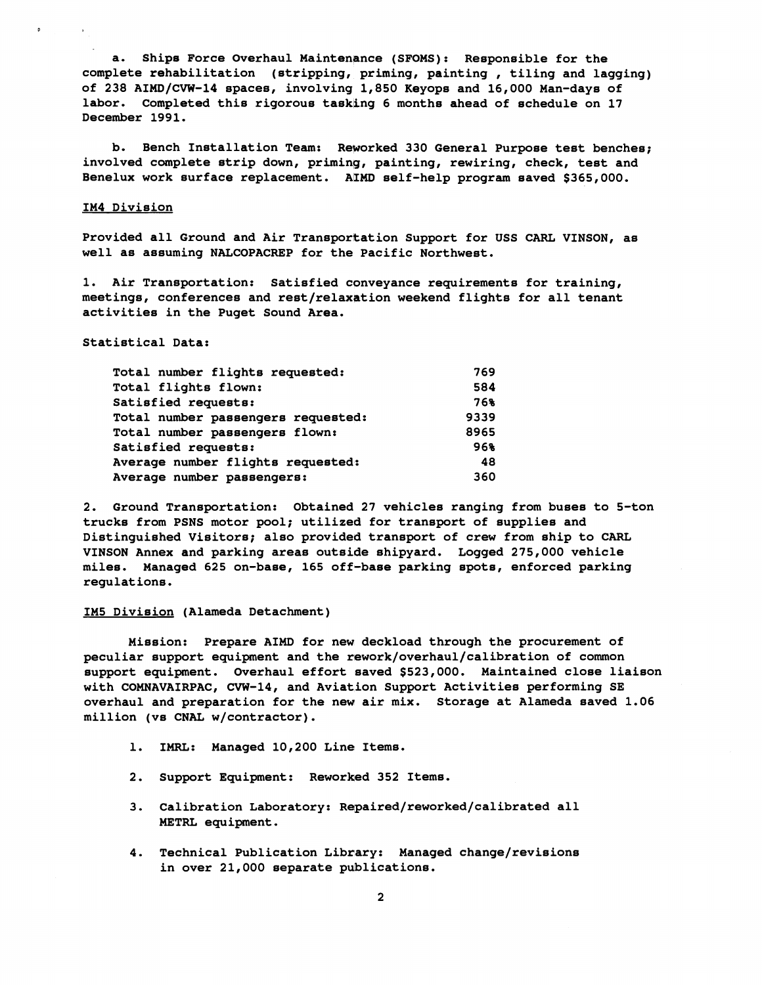**a. Ships Force Overhaul Maintenance (SFOMS): Responsible for the complete rehabilitation (stripping, priming, painting** , **tiling and lagging) of 238 AIMD/CVW-14 spaces, involving 1,850 Keyops and 16,000 Man-days of labor. Completed this rigorous tasking 6 months ahead of schedule on 17 December 1991.** 

**b. Bench Installation Team: Reworked 330 General Purpose test benches; involved complete strip down, priming, painting, rewiring, check, test and Benelux work surface replacement. AIMD self-help program saved \$365,000.** 

#### **IM4 Division**

**Provided all Ground and Air Transportation Support for USS CARL VINSON, as well as assuming NALCOPACREP for the Pacific Northwest.** 

**1. Air Transportation: Satisfied conveyance requirements for training,**  meetings, conferences and rest/relaxation weekend flights for all tenant **activities in the Puget Sound Area.** 

**Statistical Data:** 

| Total number flights requested:    | 769  |
|------------------------------------|------|
| Total flights flown:               | 584  |
| Satisfied requests:                | 76%  |
| Total number passengers requested: | 9339 |
| Total number passengers flown:     | 8965 |
| Satisfied requests:                | 96%  |
| Average number flights requested:  | 48   |
| Average number passengers:         | 360  |

**2. Ground Transportation: Obtained 27 vehicles ranging from buses to 5-ton trucks from PSNS motor pool; utilized for transport of supplies and Distinguished Visitors; also provided transport of crew from ship to CARL VINSON Annex and parking areas outside shipyard. Logged 275,000 vehicle miles. Managed 625 on-base, 165 off-base parking spots, enforced parking regulations.** 

## **IM5 Division (Alameda Detachment)**

**Mission: Prepare AIMD for new deckload through the procurement of**  peculiar support equipment and the rework/overhaul/calibration of common **support equipment. Overhaul effort saved \$523,000. Maintained close liaison with COMNAVAIRPAC, CVW-14, and Aviation Support Activities performing SE overhaul and preparation for the new air mix. Storage at Alameda saved 1.06 million (vs CNAL w/contractor).** 

- **1. IMRL: Managed 10,200 Line Items.**
- 2. Support Equipment: Reworked 352 Items.
- **3. Calibration Laboratory: Rqpaired/reworked/calibrated all METRL equipment.**
- **4. Technical Publication Library: Managed change/revisions in over 21,000 separate publications.**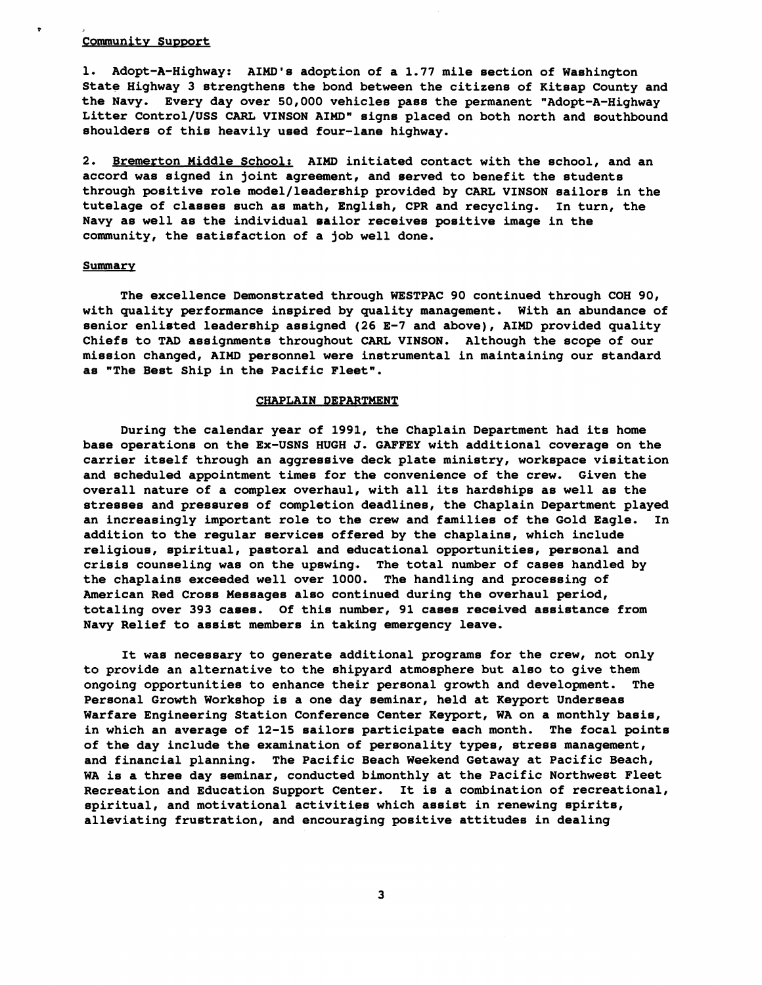# **Community Support**

**P** 

**1. Adopt-A-Highway: AIMD's adoption of a 1.77 mile section of Washington State Highway 3 strengthens the bond between the citizens of Kitsap County and**  the Navy. Every day over 50,000 vehicles pass the permanent "Adopt-A-Highway **Litter Control/USS CARL VINSON AIMD" signs placed on both north and southbound shoulders of this heavily used four-lane highway.** 

**2. Bremerton Middle School: AIMD initiated contact with the school, and an accord was signed in joint agreement, and served to benefit the students through positive role model/leadership provided by CARL VINSON sailors in the tutelage of classes such as math, English, CPR and recycling. In turn, the Navy as well as the individual sailor receives positive image in the community, the satisfaction of a job well done.** 

## **Summary**

**The excellence Demonstrated through WESTPAC 90 continued through COH 90, with quality performance inspired by quality management. With an abundance of senior enlisted leadership assigned (26 E-7 and above), AIMD provided quality Chiefs to TAD assignments throughout CARL VINSON. Although the scope of our mission changed, AIMD personnel were instrumental in maintaining our standard as "The Best Ship in the Pacific Fleet".** 

#### **CHAPLAIN DEPARTMENT**

**During the calendar year of 1998, the Chaplain Department had its home base operations on the Ex-USNS HUGH J. GAFFEY with additional coverage on the carrier itself through an aggressive deck plate ministry, workspace visitation and scheduled appointment times for the convenience of the crew. Given the overall nature of a complex overhaul, with all its hardships as well as the stresses and pressures of completion deadlines, the Chaplain Department played an increasingly important role to the crew and families of the Gold Eagle. In addition to the regular services offgred by the chaplains, which include religious, spiritual, pastoral and educational opportunities, personal and crisis counseling was on the upswing. The total number of cases handled by the chaplains exceeded well over 1000. The handling and processing of American Red Cross Messages also continued during the overhaul period, totaling over 393 cases. Of this number, 91 cases received assistance from Navy Relief to assist members in taking emergency leave.** 

**It was necessary to generate additional programs for the crew, not only to provide an alternative to the shipyard atmosphere but also to give them**  ongoing opportunities to enhance their personal growth and development. The **Personal Growth Workshop is a one day seminar, held at Keyport Underseas Warfare Engineering Station Conference Center Keypart, WA on a monthly basis, in which an average of 12-15 sailors participate each month. The focal points of the day include the examination of personality types, stress management, and financial planning. The Pacific Beach Weekend Getaway at Pacific Beach, WA is a three day seminar, conducted bimonthly at the Pacific Northwest Fleet Recreation and Education Support Center. It is a combination of recreational, spiritual, and motivational activitigs which assist in renewing spirits, alleviating frustration, and encouraging positive attitudes in dealing**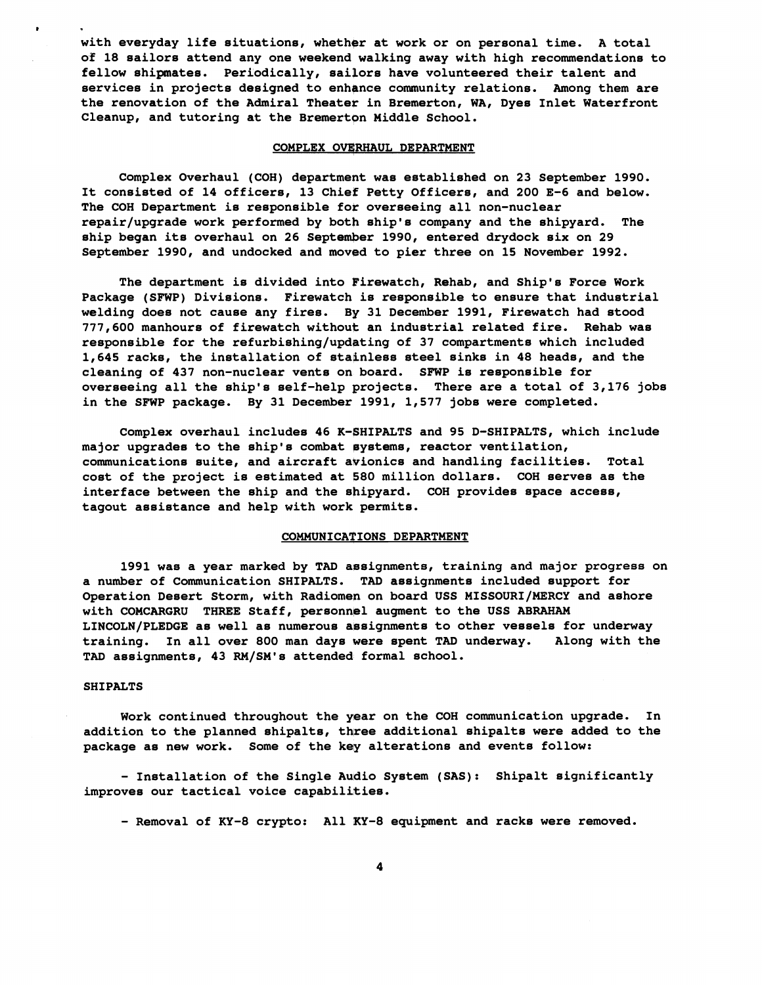**with everyday life situations, whether at work or on personal time. A total of 18 sailors attend any one weekend walking away with high recommendations to**  fellow shipmates. Periodically, sailors have volunteered their talent and **services in projects designed to enhgnce community relations. Among them are the renovation of the Admiral Theatee in Bremerton, WA, Dyes Inlet Waterfront**  Cleanup, and tutoring at the Bremerton Middle School.

#### **COMPLEX OVERHAUL DEPARTMENT**

**Complex Overhaul (COH) department was established on 23 September 1990. It consisted of 14 officers, 13 Chief Petty Officers, and 200 E-6 and below. The COH Department is responsible for overseeing all non-nuclear**  repair/upgrade work performed by both ship's company and the shipyard. The **ship began its overhaul on 26 September 1990, entered drydock six on 29 September 1990, and undocked and moved to pier three on 15 November 1992.** 

**The department is divided into Firewatch, Rehab, and Ship's Force Work Package (SFWP) Divisions. Firewatch is responsible to ensure that industrial welding does not cause any fires. By 31 December 1991, Firewatch had stood 777,600 manhours of firewatch without an industrial related fire. Rehab was**  responsible for the refurbishing/updating of 37 compartments which included **1,645 racks, the installation of stainless steel sinks in 48 heads, and the cleaning of 437 non-nuclear vents on board. SFWP is responsible for overseeing all the ship's self-help projects. There are a total of 3,176 jobs in the SFWP package. By 31 December 1991, 1,577 jobs were completed.** 

**Complex overhaul includes 46 K-GHIPALTS and 95 D-SHIPALTS, which include major upgrades to the ship's combat pystems, reactor ventilation, communications suite, and aircraft avionics and handling facilities. Total cost of the project is estimated at 680 million dollars. COH serves as the interface between the ship and the shipyard. COH provides space access, tagout assistance and help with work permits.** 

# **COMMUNICATIONS DEPARTMENT**

1991 was a year marked by TAD assignments, training and major progress on **a number of Communication SHIPALTS. TAD assignments included support for**  Operation Desert Storm, with Radiomen on board USS MISSOURI/MERCY and ashore **with COMCARGRU THREE Staff, personnpl augment to the USS ABRAHAM**  LINCOLN/PLEDGE as well as numerous assignments to other vessels for underway **training. In all over 800 man days were spent TAD underway. Along with the TAD assignments, 43 RM/SM1s attended formal school.** 

#### **SHI PALTS**

*8* 

**Work continued throughout the year on the COH communication upgrade. In**  addition to the planned shipalts, three additional shipalts were added to the package as new work. Some of the key alterations and events follow:

- **Installation of the Single Audio System (SAS): Shipalt significantly improves our tactical voice capabilities.** 

- **Removal of KY-8 crypto: All KY-8 equipment and racks were removed.**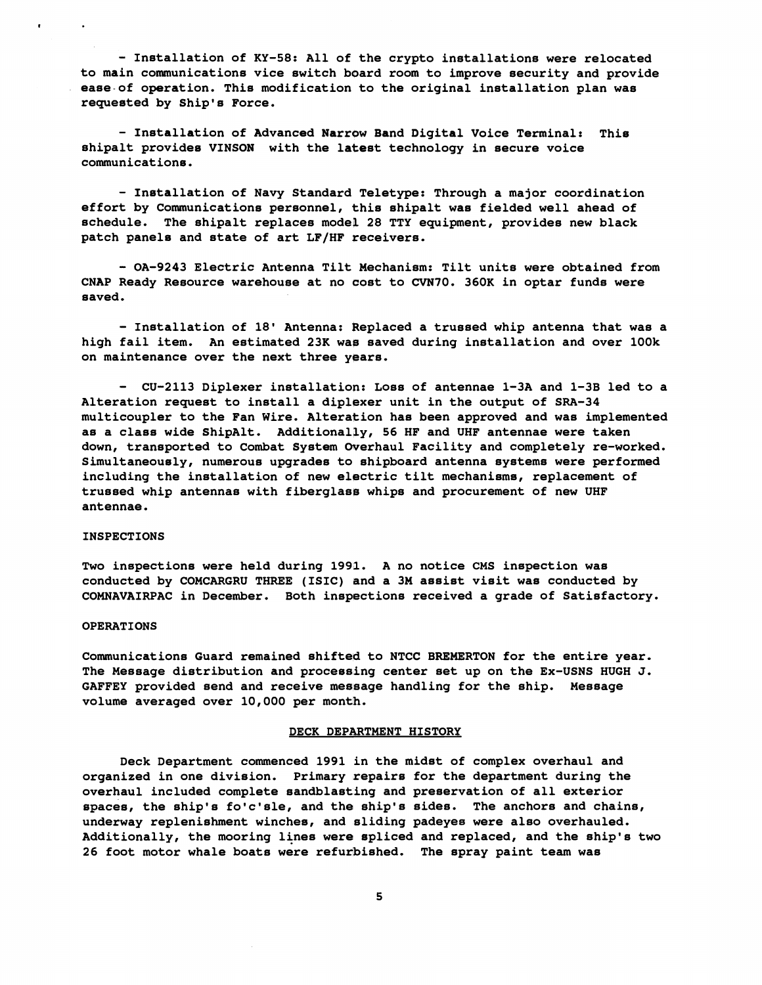- **Installation of KY-58: All of the crypto installations were relocated to main communications vice switch board room to improve security and provide ease-of operation. This modification to the original installation plan was requested by Ship's Force.** 

- **Installation of Advanced Narrow Band Digital Voice Terminal: Thie shipalt provides VINSON with the latest technology in secure voice communications** .

- **Installation of Navy Standard Teletype: Through a major coordination effort by Communications personnel, this shipalt was fielded well ahead of**  schedule. The shipalt replaces model 28 TTY equipment, provides new black **patch panele and state of art LF/HF receivers.** 

- **OA-9243 Electric Antenna Tilt Mechanism: Tilt units were obtained from CNAP Ready Resource warehouse at no cost to CVN70. 360K in optar funds were saved.** 

- **Installation of 18' Antenna: Replaced a trussed whip antenna that was a high fail item. An estimated 23K was saved during installation and over lOOk on maintenance over the next three years.** 

- **CU-2113 Diplexer installation: Loss of antennae 1-3A and 1-3B led to a Alteration request to install a diplexer unit in the output of SRA-34 multicoupler to the Fan Wire. Alteration has been approved and was implemented as a class wide ShipAlt. Additionally, 56 HF and UHF antennae were taken down, transported to Combat System Overhaul Facility and completely re-worked. Simultaneously, numerous upgrades to shipboard antenna systems were performed including the installation of new elsctric tilt mechanisms, replacement of trussed whip antennas with fiberglasp whips and procurement of new UHF antennae.** 

# **INSPECTIONS**

**Two inspections were held during 199d. A no notice CMS inspection was conducted by COMCARGRU THREE (ISIC) and a 3M assist visit was conducted by**  COMNAVAIRPAC in December. Both inspections received a grade of Satisfactory.

#### **OPERATIONS**

**Communications Guard remained shifted to NTCC BREMERTON for the entire year. The Message distribution and proceesing center set up on the Ex-USNS HUGH J.**  GAFFEY provided send and receive message handling for the ship. Message **volume averaged over 10,000 per month.** 

#### **DECK DEPARTMENT HISTORY**

**Deck Department commenced 1991 in the midst of complex overhaul and organized in one division. Primary repairs for the department during the overhaul included complete sandblasting and preservation of all exterior spaces, the ship's fo'c'sle, and the ship's sides. The anchors and chains, underway replenishment winches, and sliding padeyes were also overhauled. Additionally, the mooring lines were spliced and replaced, and the ship's two 26 foot motor whale boats were refurbished. The spray paint team was**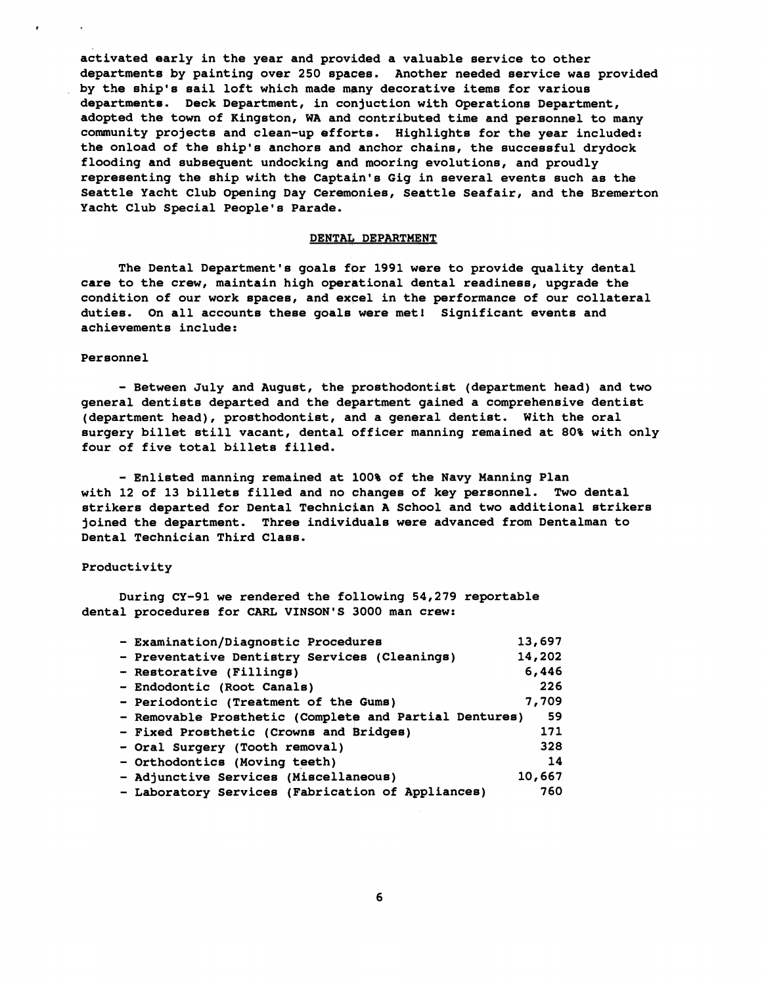**activated early in the year and provided a valuable service to other departments by painting over 250 spaces. Another needed service was provided by the ship's sail loft which made many decorative items for various departmente. Deck Department, in conjuction with Operations Department, adopted the town of Kingston, WA and contributed time and personnel to many community projects and clean-up effotts. Highlights for the year included: the onload of the ship's anchors and anchor chains, the successful drydock flooding and subsequent undocking and mooring evolutions, and proudly representing the ship with the Captain's Gig in several events such as the Seattle Yacht Club Opening Day Ceremonies, Seattle Seafair, and the Bremerton Yacht Club Special People's Parade.** 

#### **DENTAL DEPARTMENT**

**The Dental Department's goals for 1991 were to provide quality dental**  care to the crew, maintain high operational dental readiness, upgrade the **condition of our work spaces, and excel in the performance of our collateral duties. On all accounts these goals were met1 Significant events and achievements include:** 

## **Personnel**

- **Between July and August, the prosthodontist (department head) and two general dentists departed and the department gained a comprehensive dentist (department head), prosthodontist, and a general dentist. With the oral surgery billet still vacant, dental officer manning remained at 80% with only four of five total billets filled.** 

- **Enlisted manning remained at 100% of the Navy Manning Plan with 12 of 13 billets filled and no changes of key personnel. Two dental strikers departed for Dental Technickan A School and two additional strikers joined the department. Three individuals were advanced from Dentalman to Dental Technician Third Class.** 

# **Productivity**

**During CY-91 we rendered the foklowing 54,279 reportable dental procedures for CARL VINSON'S 3000 man crew:** 

| - Examination/Diagnostic Procedures                    | 13,697 |
|--------------------------------------------------------|--------|
| - Preventative Dentistry Services (Cleanings)          | 14,202 |
| - Restorative (Fillings)                               | 6,446  |
| - Endodontic (Root Canals)                             | 226    |
| - Periodontic (Treatment of the Gums)                  | 7,709  |
| - Removable Prosthetic (Complete and Partial Dentures) | -59    |
| - Fixed Prosthetic (Crowns and Bridges)                | 171    |
| - Oral Surgery (Tooth removal)                         | 328    |
| - Orthodontics (Moving teeth)                          | 14     |
| - Adjunctive Services (Miscellaneous)                  | 10,667 |
| - Laboratory Services (Fabrication of Appliances)      | 760    |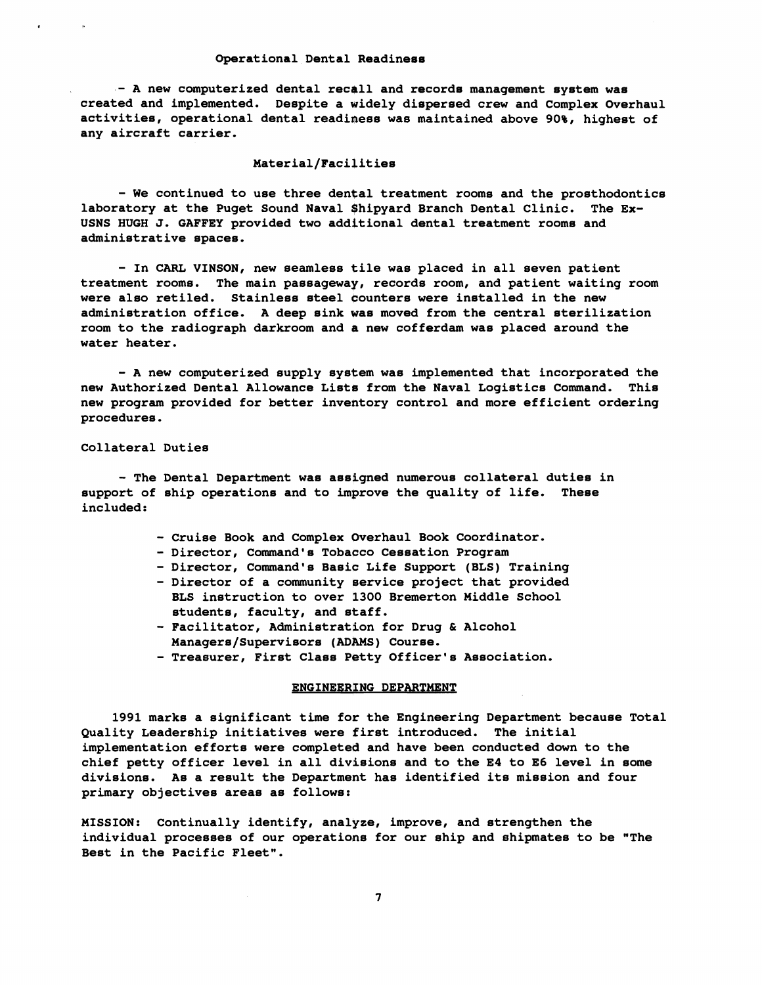#### **Operational Dental Readiness**

- **A new computerized dental recall and records management system was created and implemented. Despite a widely dispersed crew and Complex Overhaul activities, operational dental readiness was maintained above 90%, highest of any aircraft carrier.** 

# **Material/Facilit ies**

- We continued to use three dental treatment rooms and the prosthodontics **laboratory at the Puget Sound Naval \$hipyard Branch Dental Clinic. The Ex-USNS HUGH J. GAFFEY provided two additional dental treatment rooms and administrative spaces.** 

- In CARL VINSON, new seamless tile was placed in all seven patient **treatment rooms. The main passageway, records room, and patient waiting room were also retiled. Stainless steel counters were installed in the new administration office. A deep sink was moved from the central sterilization room to the radiograph darkroom and a new cofferdam was placed around the water heater.** 

- **A new computerized supply system was implemented that incorporated the new Authorized Dental Allowance Lists from the Naval Logistics Command. This new program provided for better inventory control and more efficient ordering procedures.** 

**Collateral Duties** 

- **The Dental Department was assigned numerous collateral duties in support of ship operations and to improve the quality of life. These included** :

- **Cruise Book and Complex Overhaul Book Coordinator.**
- **Director, Command's Tobacco Cessation Program**
- **Director, Command's Basic Life Support (BLS) Training**
- **Director of a community service project that provided BLS instruction to over 1300 Bremerton Middle School students, faculty, and staff.**
- **Facilitator, Administration for Drug** & **Alcohol Managers/Supervisors (ADAMS) Course.**
- **Treasurer, First Class Petty Officer's Association.**

## **ENGINEERING DEPARTMENT**

**1991 marks a significant time for the Engineering Department because Total Quality Leadership initiatives were first introduced. The initial implementation efforts were completed and have been conducted down to the chief petty officer level in all divisions and to the E4 to E6 level in some divisions. As a result the Department has identified its mission and four primary objectives areas as follows:** 

**MISSION: Continually identify, analyze, improve, and strengthen the individual processes of our operations for our ship and shipmates to be "The Best in the Pacific Fleet".**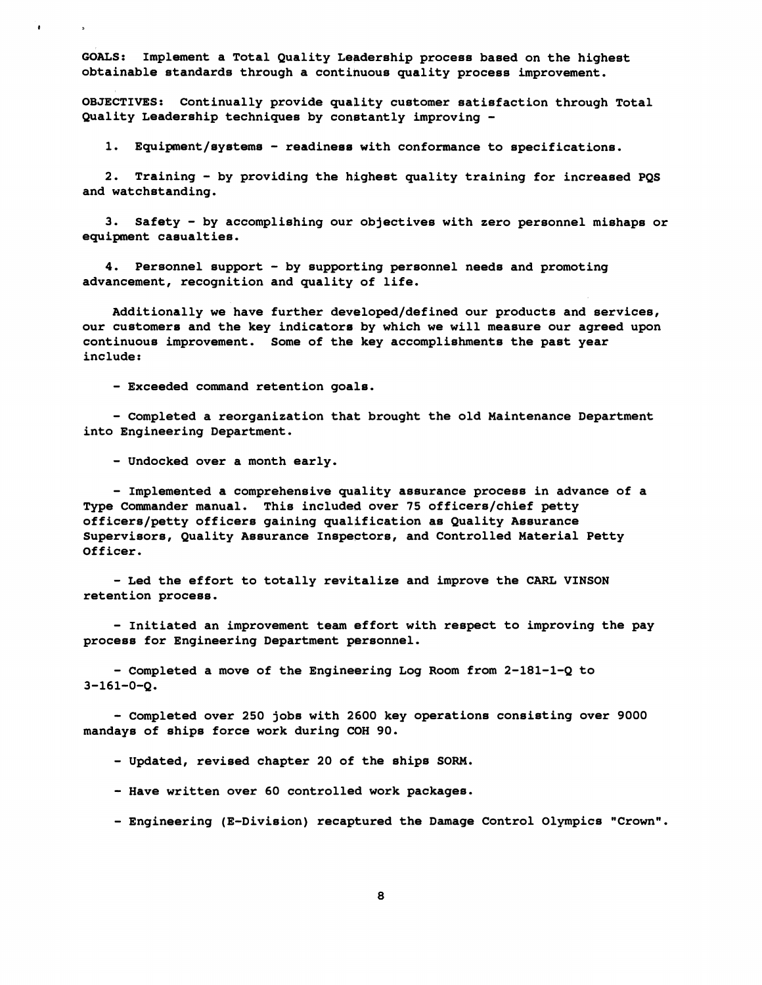**GOALS: Implement a Total Quality Leadership process based on the highest obtainable standards through a contibuous quality process improvement.** 

**OBJECTIVES: Continually provide quabity customer satisfaction through Total Quality Leadership techniques by constantly improving** -

**1. Equipment/systems** - **readiness with conformance to specifications.** 

**2. Training** - **by providing the highest quality training for increased PQS and watchstanding.** 

**3. Safety** - **by accomplishing our objectives with zero personnel mishaps or equipment casualt ies** .

**4. Personnel support** - **by supporting personnel needs and promoting advancement, recognition and quality of life.** 

**Additionally we have further developed/defined our products and services, our customers and the key indicators by which we will measure our agreed upon continuous improvement. Some of the key accomplishments the past year include** :

- **Exceeded command retention goals.** 

- **Completed a reorganization that brought the old Maintenance Department into Engineering Department.** 

- **Undocked over a month early.** 

- Implemented a comprehensive quality assurance process in advance of a **Type Commander manual. This included over 75 officers/chief petty officers/petty officers gaining qualification as Quality Assurance Supervisors, Quality Assurance Inspectors, and Controlled Material Petty Officer** .

- **Led the effort to totally revitalize and improve the CARL VINSON retention process.** 

- **Initiated an improvement team effort with respect to improving the pay process for Engineering Department personnel.** 

- **Completed a move of the Engineering Log Room from 2-181-1-Q to 3-161-0-4.** 

- **Completed over 250 jobs with 2600 key operations consisting over 9000 mandays of ships force work during CDH 90.** 

- **Updated, revised chapter 20 of the ships SORM.** 

- **Have written over 60 controlled work packages.** 

- **Engineering (E-Division) recaptured the Damage Control Olympics "Crown".**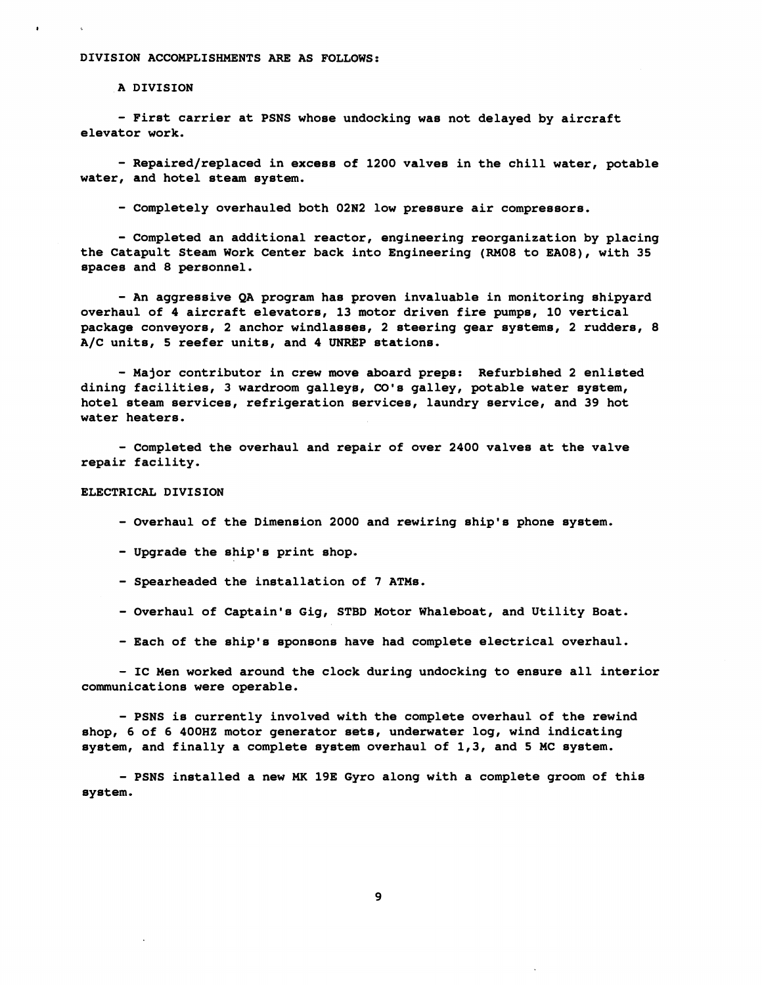# **DIVISION ACCOMPLISHMENTS ARE AS FOLLOWS:**

**A DIVISION** 

- **First carrier at PSNS whose undocking was not delayed by aircraft elevator work.** 

- **Repaired/replaced in excess of 1200 valves in the chill water, potable water, and hotel steam system.** 

- **Completely overhauled both 02N2 low pressure air compressors.** 

- **Completed an additional reactor, engineering reorganization by placing the Catapult Steam Work Center back into Engineering (RM08 to EA08), with 35 spaces and 8 personnel.** 

- **An aggressive QA program has proven invaluable in monitoring shipyard overhaul of 4 aircraft elevators, 13 motor driven fire pumps, 10 vertical package conveyors, 2 anchor windlasses, 2 steering gear systems, 2 rudders, 8**  A/C units, 5 reefer units, and 4 UNREP stations.

- **Major contributor in crew move aboard preps: Refurbished 2 enlisted dining facilities, 3 wardroom galleyb, CO's galley, potable water system, hotel steam services, refrigeration services, laundry service, and 39 hot water heaters.** 

- **Completed the overhaul and repair of over 2400 valves at the valve repair facility.** 

# **ELECTRICAL DIVISION**

- **Overhaul of the Dimension 2000 and rewiring ship's phone system.** 

- **Upgrade the ship's print shop.** 

- **Spearheaded the installation of 7 ATMs.**
- **Overhaul of Captain's Gig, STBD Motor Whaleboat, and Utility Boat.**
- **Each of the ship's sponsons have had complete electrical overhaul.**

- **IC Men worked around the clock during undocking to ensure all interior communications were operable.** 

- **PSNS is currently involved with the complete overhaul of the rewind shop, 6 of 6 400HZ motor generator sets, underwater log, wind indicating system, and finally a complete system overhaul of 1,3, and 5 MC system.** 

- **PSNS installed a new MK 19E Gyro along with a complete groom of this system.** 

9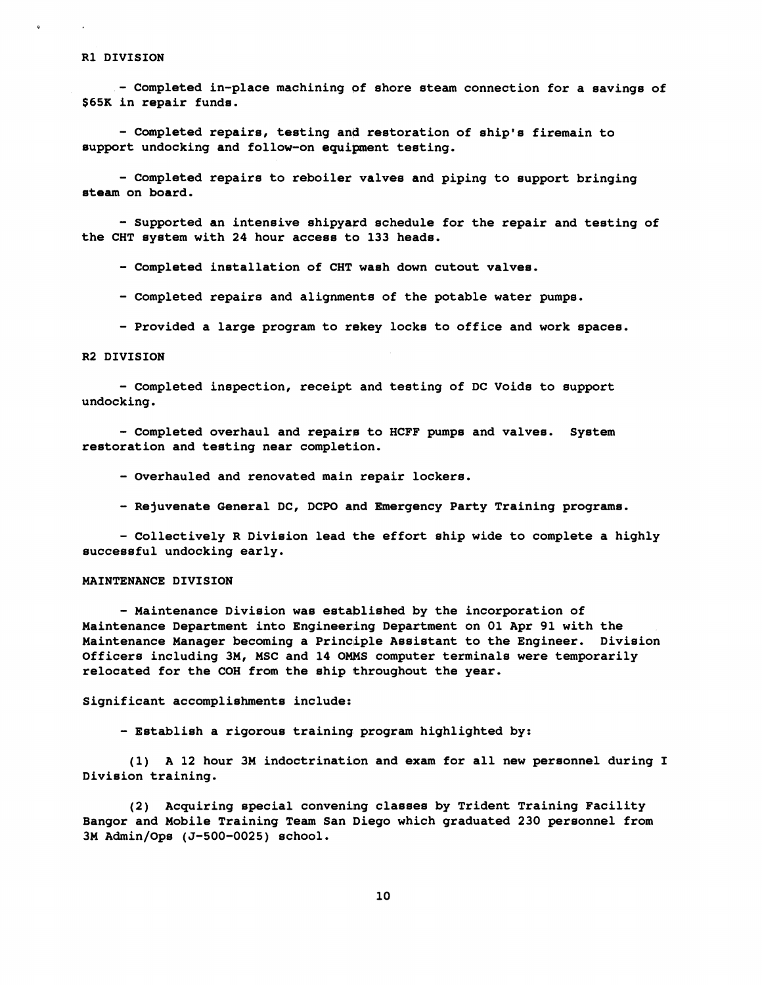### **R1 DIVISION**

- **Completed in-place machining pf shore steam connection for a savings of \$65K in repair funds.** 

- **Completed repairs, testing ang restoration of ship's firemain to support undocking and follow-on equipment testing.** 

- **Completed repairs to reboiler valves and piping to aupport bringing ateam on board.** 

- **Supported an intensive shipyard schedule for the repair and testing of the CHT system with 24 hour acceas to 133 heads.** 

- **Completed installation of CHT wash down cutout valves.** 

- **Completed repairs and alignments of the potable water pumpe.** 

- **Provided a large program to rekey locks to office and work spaces.** 

# **R2 DIVISION**

- **Completed inspection, receipt and testing of DC Voids to aupport undocking.** 

- **Completed overhaul and repairp to HCFF pumps and valvea. Syatem restoration and testing near completion.** 

- **Overhauled and renovated main repair lockers.** 

- **Rejuvenate General DC, DCPO and Emergency Party Training programs.** 

- **Collectively R Division lead the effort ship wide to complete a highly successful undocking early.** 

#### **MAINTENANCE DIVISION**

- **Maintenance Division wae eetablished by the incorporation of Maintenance Department into Engineering Department on 01 Apr 91 with the Maintenance Manager becoming a Principle Aaaiatant to the Engineer. Division Officers including 3M, MSC and 14 OMMS computer terminals were temporarily relocated for the COH from the ship throughout the year.** 

**Significant accompliahmenta include:** 

- **Establish a rigorous training program highlighted by:** 

(1) A 12 hour 3M indoctrination and exam for all new personnel during I **Division training.** 

**(2) Acquiring special convening classes by Trident Training Facility Bangor and Mobile Training Team San Diego which graduated 230 personnel from 3M Admin/Ops (5-500-0025) school.**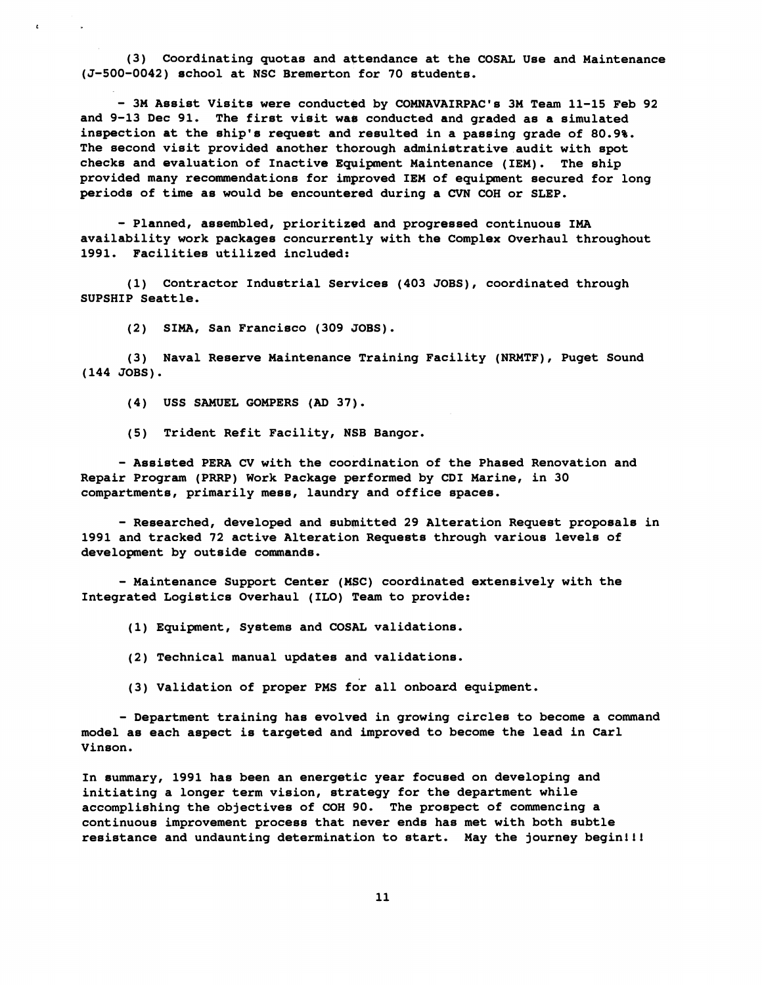**(3) Coordinating quotas and attendance at the COSAL Use and Maintenance (5-500-0042) echo01 at NSC Bremerton for 70 students.** 

- **3M Assist Visits were conducted by COMNAVAIRPAC1e 3M Team 11-15 Feb 92 and 9-13 Dec 91. The firet visit wae conducted and graded as a simulated inspection at the ship's request and reeulted in a passing grade of 80.9%. The second visit provided another thorough administrative audit with spot checks and evaluation of Inactive Equipment Maintenance (IEM). The ship provided many recommendations for improved IEM of equipment secured for long periods of time as would be encountered during a CVN COH or SLEP.** 

- **Planned, assembled, prioritized and progressed continuous IMA availability work packages concurrently with the Complex Overhaul throughout 1991. Facilities utilized included:** 

**(1) Contractor Industrial Services (403 JOBS), coordinated through SUPSHIP Seattle.** 

**(2) SIMA, San Francisco (309 30BS).** 

**(3) Naval Reserve Maintenance Training Facility (NRMTF), Puget Sound (144 JOBS).** 

**(4) USS SAMUEL GOMPERS (AD 37).** 

**(5) Trident Ref it Facility, NSB Bangor.** 

- **Assisted PERA CV with the coordination of the Phased Renovation and Repair Program (PRRP) Work Package performed by CDI Marine, in 30 compartments, primarily mess, laundry and office spaces.** 

- **Researched, developed and submitted 29 Alteration Request proposals in 1991 and tracked 72 active Alteration Requests through various levels of development by outside commands.** 

- **Maintenance Support Center (HSC) coordinated extensively with the Integrated Logistics Overhaul (ILO) Team to provide:** 

**(1) Equipment, Systems and COSAL validations.** 

**(2) Technical manual updates and validations.** 

(3) Validation of proper PMS for all onboard equipment.

- **Department training has evolved in growing circles to become a command model as each aspect is targeted and improved to become the lead in Carl Vinson.** 

**In summary, 1991 has been an energetic year focused on developing and initiating a longer term vision, strategy for the department while accomplishing the objectives of COH 90. The prospect of commencing a continuous improvement process that never ends has met with both subtle resistance and undaunting determination to start. May the journey begin111**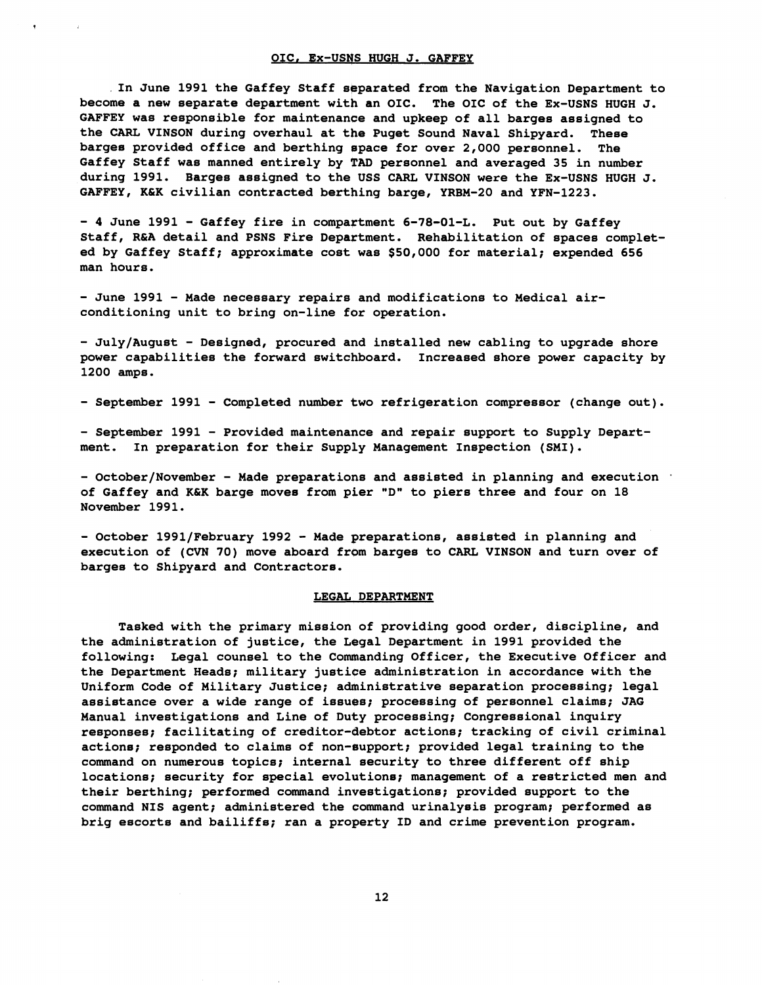#### **OIC. EX-USNS HUGH J. GAFFEY**

**In June 1991 the Gaffey Staff separated from the Navigation Department to become a new separate department with an OIC. The OIC of the Ex-USNS HUGH J. GAFFEY was responsible for maintenance and upkeep of all barges assigned to the CARL VINSON during overhaul at the Puget Sound Naval Shipyard. These bargee provided office and berthing apace for over 2,000 personnel. The Gaffey Staff was manned entirely by TAD personnel and averaged 35 in number during 1991. Barges assigned to the USS CARL VINSON were the Ex-USNS HUGH J.**  GAFFEY, K&K civilian contracted berthing barge, YRBM-20 and YFN-1223.

- **4 June 1991** - **Gaffey fire in compaFtment 6-78-01-L. Put out by Gaffey**  Staff, R&A detail and PSNS Fire Department. Rehabilitation of spaces complet**ed by Gaffey Staff; approximate cost was \$50,000 for material; expended 656 man hours.** 

- **June 1991** - **Made necessary repairs and modifications to Medical air**conditioning unit to bring on-line for operation.

- **July/August** - **Designed, procured and installed new cabling to upgrade shore power capabilities the forward switchboard. Increased shore power capacity by 1200 amps.** 

- **September 1991** - **Completed number two refrigeration compressor (change out).** 

- **September 1991** - **Provided maintenance and repair support to Supply Department. In preparation for their Supply Management Inspection (SMI).** 

- **October/November** - **Made preparations and assisted in planning and execution**  of Gaffey and K&K barge moves from pier "D" to piers three and four on 18 **November 1991.** 

- **October 1991/February 1992** - **Made preparations, assisted in planning and execution of (CVN 70) move aboard from barges to CARL VINSON and turn over of barges to Shipyard and Contractors.** 

## **LEGAL DEPARTMENT**

**Tasked with the primary mission of providing good order, discipline, and the administration of justice, the Legal Department in 1991 provided the following: Legal counsel to the Commanding Officer, the Executive Officer and the Department Heads; military justice administration in accordance with the Uniform Code of Military Justice; administrative separation processing; legal assistance over a wide range of issues; processing of personnel claims; JAG Manual investigations and Line of Duty processing; Congressional inquiry responses; facilitating of creditor-debtor actions; tracking of civil criminal actione; responded to claims of non-support; provided legal training to the command on numerous topics; internal security to three different off ship locations; security for special evolutione; management of a restricted men and their berthing; performed command investigations; provided support to the command NIS agent; administered the command urinalysis program; performed as brig escorts and bailiffs; ran a property ID and crime prevention program.**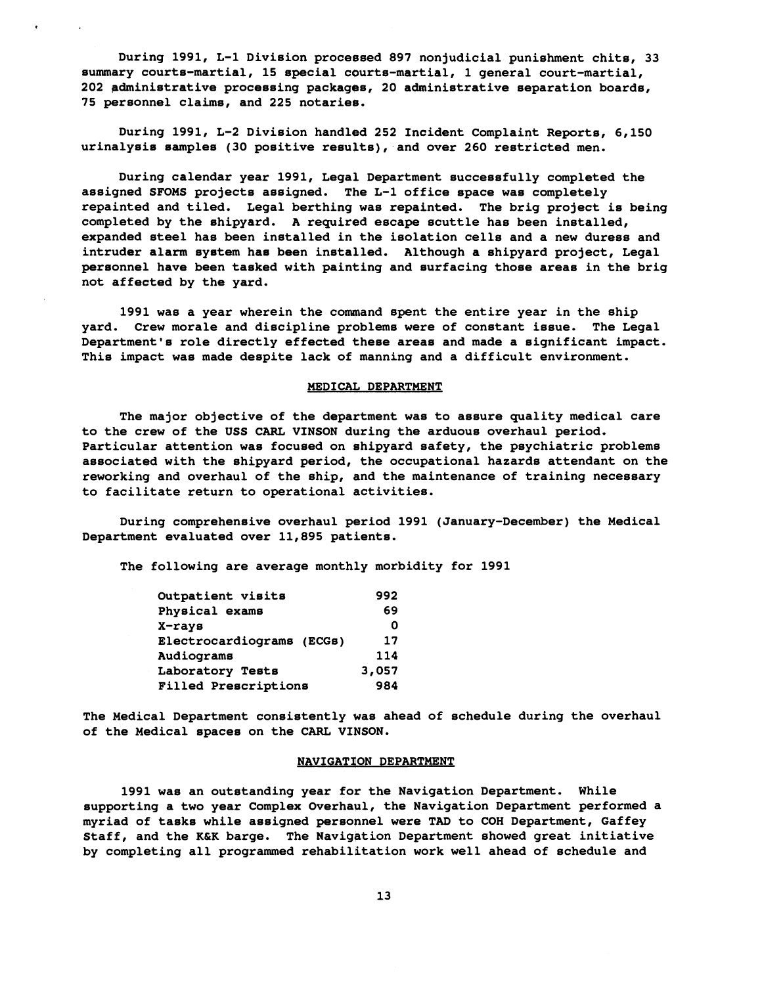**During 1991, L-1 Division processed 897 nonjudicial punishment chits, 33 summary courts-martial, 15 special courts-martial, 1 general court-martial, 202 pdministrative processing packages, 20 administrative separation boards, 75 personnel claims, and 225 notaries.** 

**During 1991, L-2 Division handled 252 Incident Complaint Reports, 6,150 urinalysis samples (30 positive results), and over 260 restricted men.** 

**During calendar year 1991, Legal Department successfully completed the assigned SFOMS projects assigned. The L-1 office space was completely repainted and tiled. Legal berthing was repainted. The brig project is being completed by the shipyard. A required escape scuttle has been installed, expanded steel has been installed in the isolation cells and a new duress and intruder alarm system has been installed. Although a shipyard project, Legal personnel have been tasked with painting and surfacing those areas in the brig not affected by the yard.** 

**1991 was a year wherein the command spent the entire year in the ship yard. Crew morale and discipline problems were of constant issue. The Legal Department's role directly effected these areas and made a significant impact. This impact was made despite lack of manning and a difficult environment.** 

## MEDICAL DEPARTMENT

**The major objective of the department was to assure quality medical care to the crew of the USS CARL VINSON dvring the arduous overhaul period. Particular attention was focused on Shipyard safety, the psychiatric problems associated with the shipyard period, the occupational hazards attendant on the reworking and overhaul of the ship, and the maintenance of training necessary to facilitate return to operational activities.** 

**During comprehensive overhaul period 1991 (January-December) the Medical Department evaluated over 11,895 patients.** 

The following are average monthly morbidity for 1991

| Outpatient visits         | 992   |
|---------------------------|-------|
| Physical exams            | 69    |
| X-rays                    | O     |
| Electrocardiograms (ECGs) | 17    |
| Audiograms                | 114   |
| Laboratory Tests          | 3,057 |
| Filled Prescriptions      | 984   |

**The Medical Department consistently was ahead of schedule during the overhaul of the Medical spaces on the CARL VINSON.** 

#### **NAVIGATION DEPARTMENT**

**1991 was an outstanding year for the Navigation Department. While supporting a two year Complex Overhaul, the Navigation Department performed a myriad of tasks while assigned personnel were TAD to COH Department, Gaffey Staff, and the K&K barge. The Navigation Department showed great initiative by completing all programmed rehabilitation work well ahead of schedule and**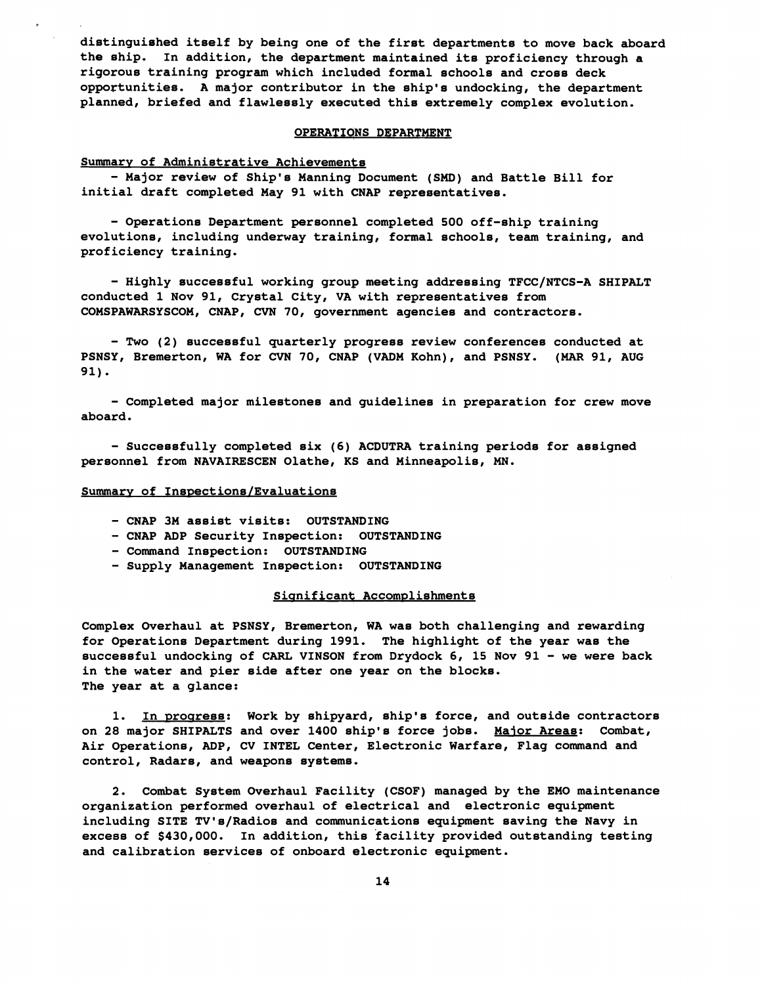**distinguished itself by being one of the first departments to move back aboard the ship. In addition, the departmeht maintained its proficiency through a rigorous training program which inclgded formal schools and cross deck opportunities. A major contributor in the ship's undocking, the department planned, briefed and flawlessly executed this extremely complex evolution.** 

## **OPERATIQNS DEPARTMENT**

## **Summary of Administrative Achievements**

- **Major review of Ship's Manning Document (SMD) and Battle Bill for initial draft completed May 91 with @NAP representatives.** 

- **Operations Department personnek completed 500 off-ship training evolutions, including underway training, formal schools, team training, and proficiency training.** 

- **Highly successful working group meeting addressing TFCC/NTCS-A SHIPALT conducted 1 Nov 91, Crystal City, VA with representatives from COMSPAWARSYSCOM, CNAP, CVN 70, government agencies and contractors.** 

- **Two (2) successful quarterly progress review conferences conducted at PSNSY, Bremerton, WA for CVN 70, CNAP (VADM Kohn), and PSNSY. (MAR 91, AUG 91).** 

- **Completed major milestones and guidelines in preparation for crew move aboard.** 

- **Successfully completed six (6) ACDUTRA training periods for assigned personnel from NAVAIRESCEN Olathe, KS and Minneapolis, MN.** 

# Summary of Inspections/Evaluations

- **CNAP 3M assist visits: OUTSTANDING**
- **CNAP ADP Security Inspection: OUTSTANDING**
- **Command Inspection: OUTSTANDING**
- **Supply Management Inspection: OUTSTANDING**

## Significant Accomplishments

**Complex Overhaul at PSNSY, Bremerton, WA was both challenging and rewarding for Operations Department during 1991. The highlight of the year was the successful undocking of CARL VINSON from Drydock 6, 15 Nov 91** - **we were back in the water and pier side after one year on the blocks. The year at a glance:** 

1. In progress: Work by shipyard, ship's force, and outside contractors **on 28 major SHIPALTS and over 1400 ship's force jobs. Major Areas: Combat, Air Operations, ADP, CV INTEL Center, Electronic Warfare, Flag command and control, Radars, and weapons systems.** 

**2. Combat System Overhaul Facility (CSOF) managed by the EM0 maintenance organization performed overhaul of electrical and electronic equipment including SITE TV's/Radios and communications equipment saving the Navy in excess of \$430,000. In addition, this facility provided outstanding testing and calibration services of onboard electronic equipment.**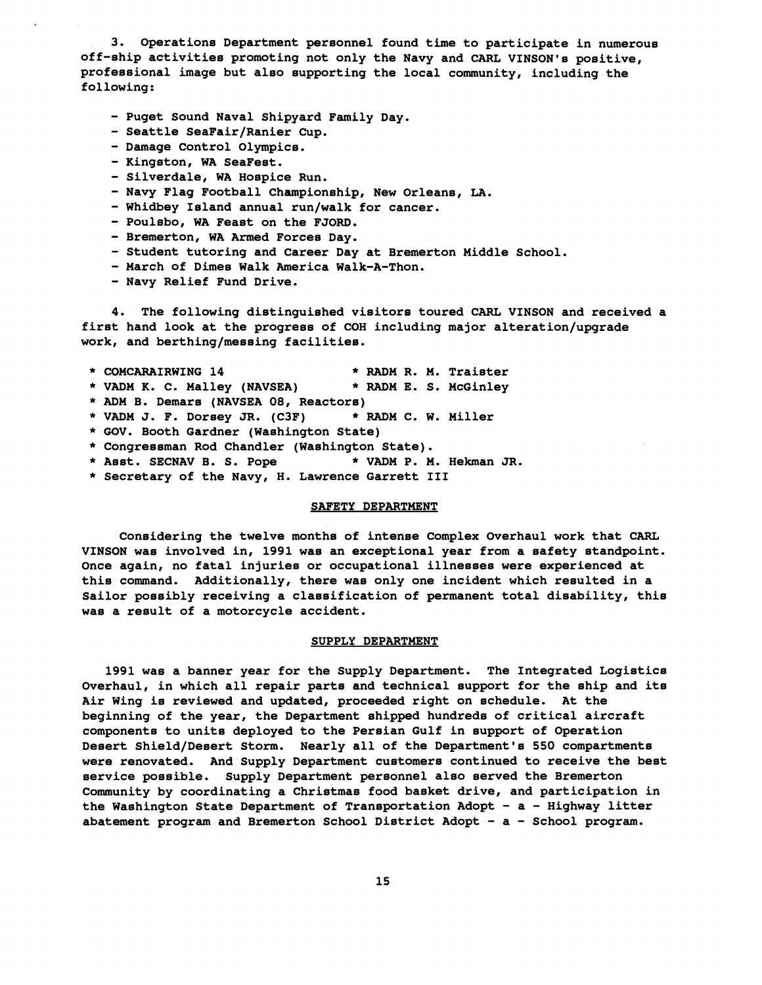**3. Operations Department personnel found time to participate in numerous off-ship activities promoting not only the Navy and CARL VINSON's positive, professional image but also supporting the local community, including the following:** 

- **Puget Sound Naval Shipyard Family Day.**
- Seattle SeaFair/Ranier Cup.
- **Damage Control Olympics.**
- **Kingston, WA SeaFest.**
- **Silverdale, WA Hospice Run.**
- **Navy Flag Football Championship, New Orleane, LA.**
- Whidbey Island annual run/walk for cancer.
- **Poulsbo, WA Feast on the FJORD.**
- **Bremerton, WA Armed Forces Day.**
- **Student tutoring and Career Day at Bremerton Middle School.**
- **March of Dimes Walk America Walk-A-Thon.**
- **Navy Relief Fund Drive.**

**4. The following dietinguished visitore toured CARL VINSON and received a**  first hand look at the progress of COH including major alteration/upgrade work, and berthing/messing facilities.

- \* **COMCARAIRWING 14** \* **RADM R. M. Traister**
- \* **VADM K. C. Malley (NAVSEA)** \* **RADM E. S. McGinley**
- \* **ADM B. Demars (NAVSEA 08, Reactors)**
- \* **VADM J. F. Dorsey JR. (C3F)** \* **RADM C. W. Miller**
- \* **GOV. Booth Gardner (Washington State)**
- \* **Congressman Rod Chandler (Washington State).**
- \* **Asst. SECNAV B. S. Pope** \* **VADM P. M. Hekman JR.**
- \* **Secretary of the Navy, H. Lawrence Garrett I11**

## **SAFETY DEPARTMENT**

**Considering the twelve months of intense Complex Overhaul work that CARL VINSON was involved in, 1991 was an exceptional year from a eafety standpoint. once again, no fatal injuries or occupational illnesses were experienced at this command. Additionally, there was only one incident which resulted in a**  Sailor possibly receiving a classification of permanent total disability, this **was a result of a motorcycle accident.** 

#### **SUPPLY DEPARTMENT**

**1991 was a banner year for the Supply Department. The Integrated Logistics Overhaul, in which all repair parts and technical support for the ship and its Air Wing is reviewed and updated, proceeded right on schedule. At the beginning of the year, the Department shipped hundreds of critical aircraft components to units deployed to the Persian Gulf in support of Operation**  Desert Shield/Desert Storm. Nearly all of the Department's 550 compartments **were renovated. And Supply Department customers continued to receive the best service possible. Supply Department personnel also served the Bremerton Community by coordinating a Chrietmas food basket drive, and participation in the Washington State Department of Transportation Adopt** - **a** - **Highway litter abatement program and Bremerton School District Adopt** - **a** - **School program.**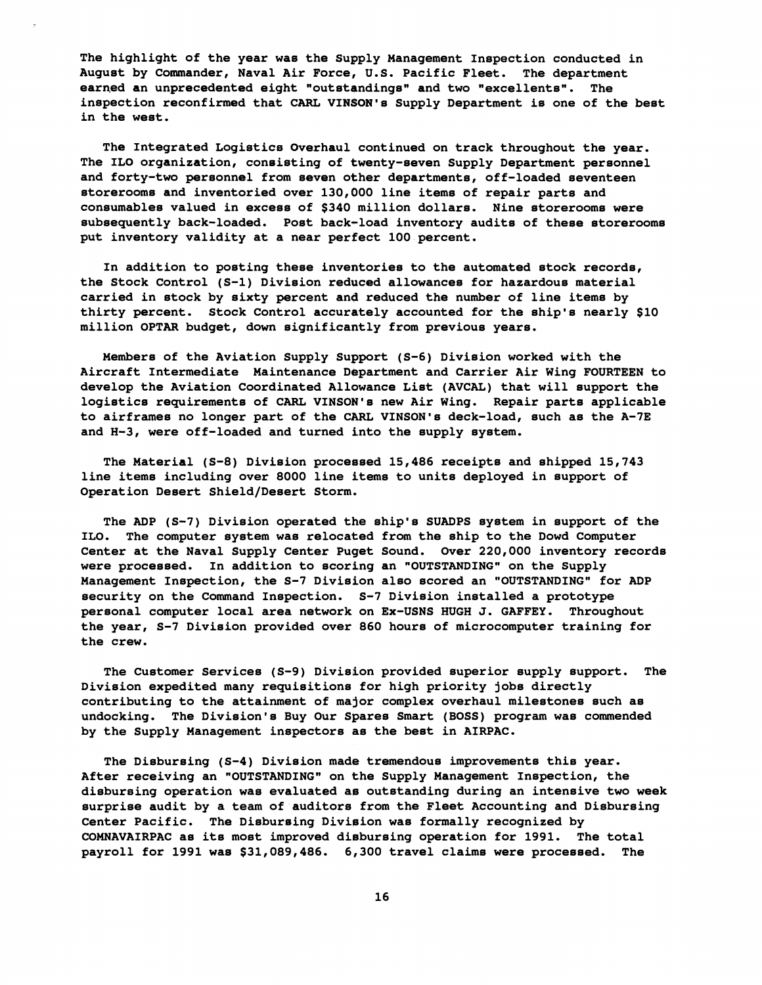**The highlight of the year was the Supply Management Inspection conducted in August by Commander, Naval Air Force, U.S. Pacific Fleet. The department earned an unprecedented eight "outstgndings" and two "excellents". The inspection reconfirmed that CARL VIN\$ON1s Supply Department is one of the best in the west.** 

**The Integrated Logistics Overhaul continued on track throughout the year.**  The ILO organization, consisting of twenty-seven Supply Department personnel **and forty-two personnel from seven other departments, off-loaded seventeen storerooms and inventoried over 130,000 line items of repair parts and consurnables valued in excess of \$340 million dollars. Nine storerooms were subsequently back-loaded. Post back-load inventory audits of these storerooms put inventory validity at a near perfect 100 percent.** 

**In addition to posting these inventories to the automated stock records, the Stock Control (S-1) Division reduced allowances for hazardous material carried in stock by sixty percent and reduced the number of line items by thirty percent. Stock Control accurately accounted for the ship's nearly \$10 million OPTAR budget, down significantly from previous years.** 

**Members of the Aviation Supply Support (S-6) Division worked with the Aircraft Intermediate Maintenance Department and Carrier Air Wing FOURTEEN to develop the Aviation Coordinated Allowance List (AVCAL) that will support the logistics requirements of CARL VINSON's new Air Wing. Repair parts applicable to airframes no longer part of the CARL VINSON's deck-load, such as the A-7E and H-3, were off-loaded and turned into the supply system.** 

**The Material (5-8) Division proceased 15,486 receipts and shipped 15,743**  line items including over 8000 line items to units deployed in support of **Operation Desert Shield/Desert Storm.** 

**The ADP (5-7) Division operated the ship's SUADPS system in support of the ILO. The computer system was relocated from the ship to the Dowd Computer Center at the Naval Supply Center Puget Sound. Over 220,000 inventory records were processed. In addition to scoring an "OUTSTANDING" on the Supply Management Inspection, the S-7 Division also scored an "OUTSTANDING" for ADP security on the Command Inspection. 5-7 Division installed a prototype personal computer local area network on Ex-USNS HUGH J. GAFFEY. Throughout the year, S-7 Division provided over 860 hours of microcomputer training for the crew.** 

**The Customer Services (S-9) Division provided superior supply support. The Division expedited many requisitions for high priority jobs directly contributing to the attainment of major complex overhaul milestones such as undocking. The Division's Buy Our Spares Smart (BOSS) program was commended by the Supply Management inspectors as the best in AIRPAC.** 

**The Disbursing (5-4) Division made tremendous improvements this year.**  After receiving an "OUTSTANDING" on the Supply Management Inspection, the **disbursing operation was evaluated as outstanding during an intensive two week surprise audit by a team of auditors from the Fleet Accounting and Disbursing Center Pacific. The Disbursing Division was formally recognized by COMNAVAIRPAC as its most improved diebursing operation for 1991. The total payroll for 1991 was \$31,089,486. 6,300 travel claims were processed. The**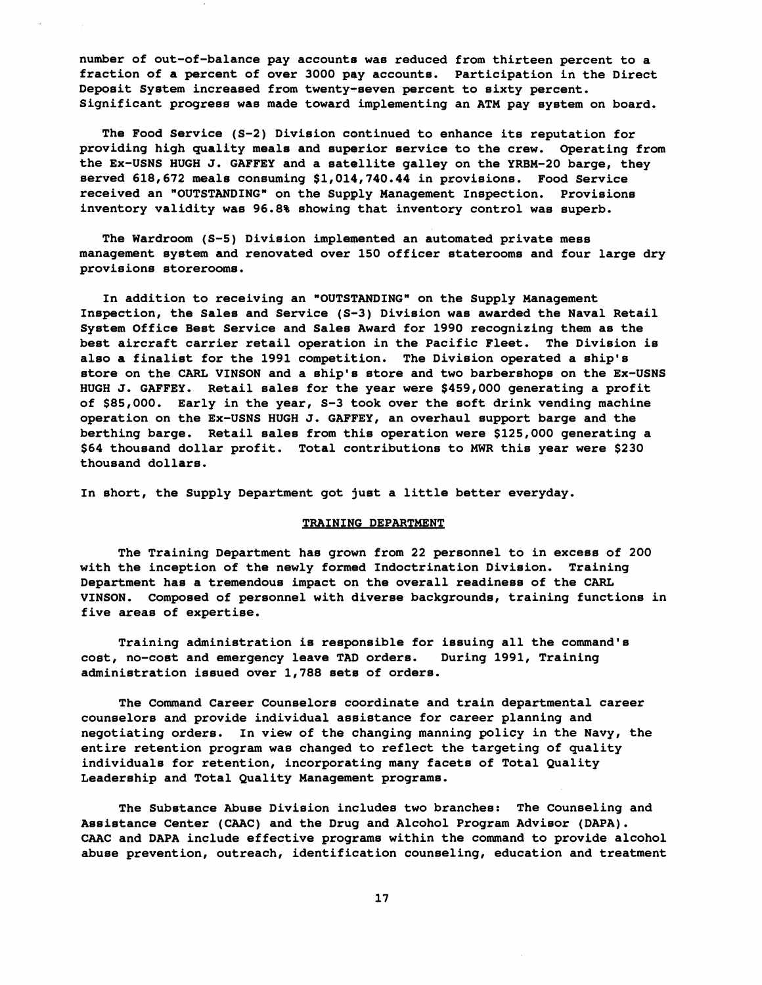**number of out-of-balance pay accounts was reduced from thirteen percent to a fraction of a percent of over 3000 pay accounts. Participation in the Direct Deposit System increased from twenty+seven percent to sixty percent. Significant progress was made toward implementing an ATM pay system on board.** 

The Food Service (S-2) Division continued to enhance its reputation for **providing high quality meals and supgrior service to the crew. Operating from the Ex-USNS HUGH J. GAFFEY and a satellite galley on the YRBM-20 barge, they served 618,672 meale consuming \$1,014,740.44 in provisions. Food Service received an "OUTSTANDING" on the Supply Management Inspection. Provisions inventory validity was 96.8% showing that inventory control was superb.** 

**The Wardroom (5-5) Division implemented an automated private mess management system and renovated over 150 officer staterooms and four large dry provisions storerooms.** 

**In addition to receiving an "OUTSTANDING" on the Supply Management**  Inspection, the Sales and Service (S-3) Division was awarded the Naval Retail **System Office Best Service and Sales Award for 1990 recognizing them as the best aircraft carrier retail operation in the Pacific Fleet. The Division is also a finalist for the 1991 competition. The Division operated a ship's store on the CARL VINSON and a ship's store and two barbershops on the Ex-USNS HUGH J. GAFFEY. Retail sales for the year were \$459,000 generating a profit of \$85,000. Early in the year, 5-3 took over the soft drink vending machine operation on the Ex-USNS HUGH J. GAFFEY, an overhaul support barge and the berthing barge. Retail sales from this operation were \$125,000 generating a \$64 thousand dollar profit. Total contributions to MWR this year were \$230 thousand dollars.** 

**In short, the Supply Department got just a little better everyday.** 

# **TRAINING DEPARTMENT**

**The Training Department has grown from 22 personnel to in excess of 200 with the inception of the newly formed Indoctrination Division. Training Department has a tremendous impact on the overall readiness of the CARL VINSON. Composed of personnel with diverse backgrounds, training functions in five areas of expertise.** 

**Training administration is responsible for issuing all the command's cost, no-cost and emergency leave TAD orders. During 1991, Training administration issued over 1,788 sets of orders.** 

**The Command Career Counselors coordinate and train departmental career counselors and provide individual asgistance for career planning and negotiating orders. In view of the changing manning policy in the Navy, the entire retention program was changed to reflect the targeting of quality individuals for retention, incorporating many facets of Total Quality Leadership and Total Quality Management programs.** 

**The Substance Abuse Division includes two branches: The Counseling and Assistance Center (CAAC) and the Drug and Alcohol Program Advisor (DAPA). CAAC and DAPA include effective programs within the command to provide alcohol abuse prevention, outreach, identification counseling, education and treatment**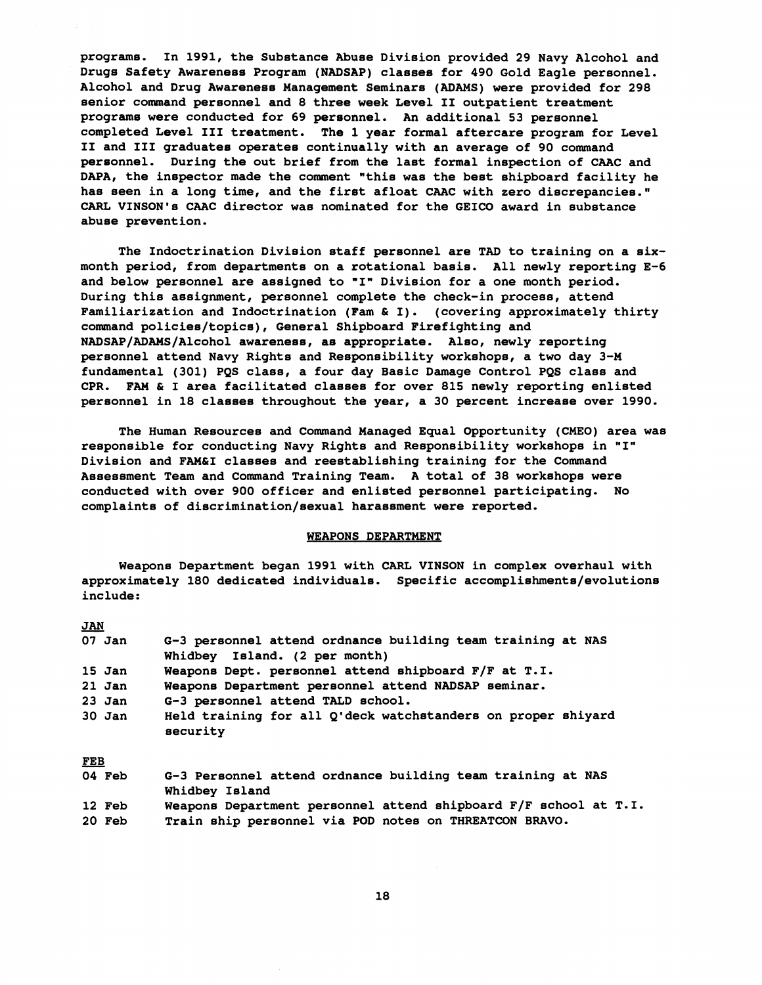**programs. In 1991, the Substance Abvse Division provided 29 Navy Alcohol and**  Drugs Safety Awareness Program (NADSAP) classes for 490 Gold Eagle personnel. Alcohol and Drug Awareness Management Seminars (ADAMS) were provided for 298 **senior connnand personnel and 8 three week Level I1 outpatient treatment program8 were conducted for 69 personnel. An additional 53 personnel completed Level I11 treatment. The 1 year formal aftercare program for Level I1 and I11 graduates operatee continually with an average of 90 command pereonnel. During the out brief from the last formal inspection of CAAC and DAPA, the inspector made the comment "this was the best shipboard facility he has seen in a long time, and the firet afloat CAAC with zero discrepancies." CARL VINSON1s CAAC director was nominated for the GEICO award in substance abuse prevention.** 

**The Indoctrination Divieion staff personnel are TAD to training on a sixmonth period, from departments on a rotational basis. All newly reporting E-6 and below pereonnel are assigned to "I" Divieion for a one month period. During this assignment, personnel complete the check-in process, attend Familiarization and Indoctrination (Pam** & **I). (covering approximately thirty command policies/topics), General shipboard Firefighting and NADSAP/ADAMS/Alcohol awareness, as appropriate. Also, newly reporting personnel attend Navy Rights and Reaponeibility workshops, a two day 3-M fundamental (301) PQS class, a four gay Basic Damage Control PQS class and CPR. FAH** & **I area facilitated classes for over 815 newly reporting enlisted personnel in 18 classes throughout the year, a 30 percent increase over 1990.** 

**The Human Resources and Command Managed Equal Opportunity (CMEO) area was responsible for conducting Navy Rights and Reeponsibility workehops in "I" Division and FAM&I classes and reestablishing training for the Command Assessment Team and Command Training Team. A total of 38 workshops were conducted with over 900 officer and enlisted personnel participating. No complaints of discrimination/sexual haraesment were reported.** 

# **WEAPONS DEPARTMENT**

**Weapons Department began 1991 with CARL VINSON in complex overhaul with approximately 180 dedicated individuals. Specific accomplishments/evolutions include** : We<br>approxi<br>include<br><u>JAN</u><br>07 Jan

|     | $07$ Jan | G-3 personnel attend ordnance building team training at NAS<br>Whidbey Island. (2 per month) |
|-----|----------|----------------------------------------------------------------------------------------------|
|     | $15$ Jan | Weapons Dept. personnel attend shipboard F/F at T.I.                                         |
|     | $21$ Jan | Weapons Department personnel attend NADSAP seminar.                                          |
|     | $23$ Jan | G-3 personnel attend TALD school.                                                            |
|     | $30$ Jan | Held training for all Q'deck watchstanders on proper shiyard<br>security                     |
| FEB |          |                                                                                              |
|     | 04 Feb   | G-3 Personnel attend ordnance building team training at NAS<br>Whidbey Island                |
|     | 12 Feb   | Weapons Department personnel attend shipboard F/F school at T.I.                             |
|     | 20 Feb   | Train ship personnel via POD notes on THREATCON BRAVO.                                       |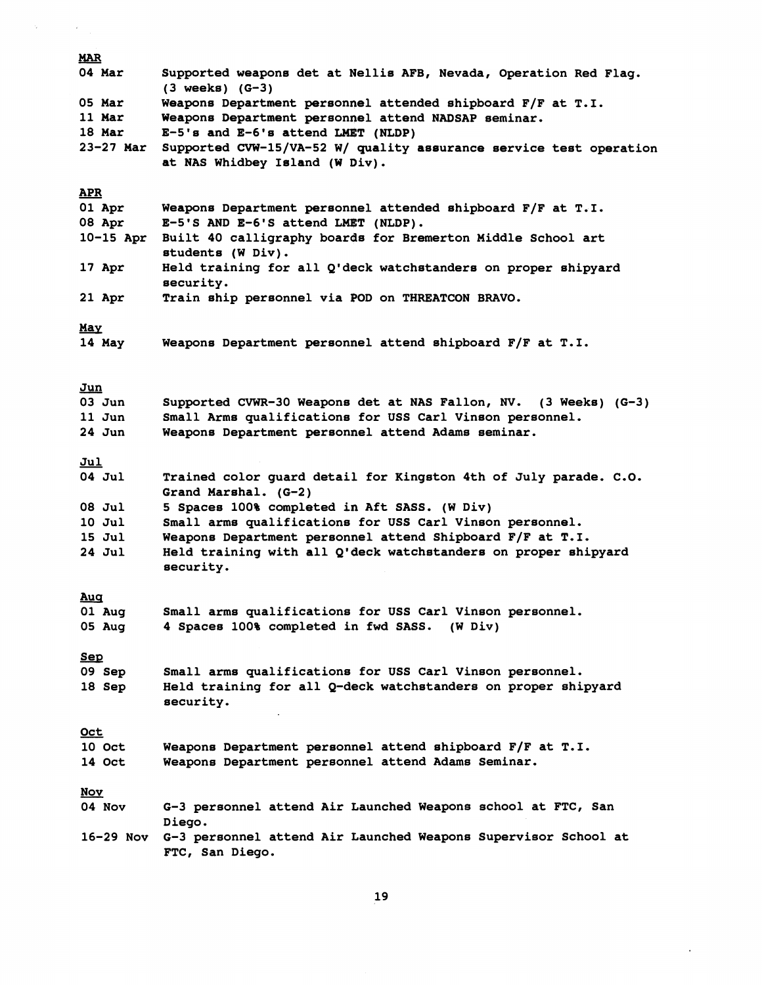| <b>MAR</b>           |                                                                                                      |
|----------------------|------------------------------------------------------------------------------------------------------|
| 04 Mar               | Supported weapons det at Nellis AFB, Nevada, Operation Red Flag.<br>$(3 \text{ weeks}) (G-3)$        |
| 05 Mar               | Weapons Department personnel attended shipboard F/F at T.I.                                          |
| 11 Mar               | Weapons Department personnel attend NADSAP seminar.                                                  |
| 18 Mar               | $E-5$ 's and $E-6$ 's attend LMET (NLDP)                                                             |
| 23-27 Mar            | Supported CVW-15/VA-52 W/ quality assurance service test operation<br>at NAS Whidbey Island (W Div). |
| <b>APR</b>           |                                                                                                      |
| 01 Apr<br>08 Apr     | Weapons Department personnel attended shipboard F/F at T.I.<br>E-5'S AND E-6'S attend LMET (NLDP).   |
| $10-15$ Apr          | Built 40 calligraphy boards for Bremerton Middle School art<br>students (W Div).                     |
| 17 Apr               | Held training for all Q'deck watchstanders on proper shipyard<br>security.                           |
| 21 Apr               | Train ship personnel via POD on THREATCON BRAVO.                                                     |
|                      |                                                                                                      |
| <u>May</u>           |                                                                                                      |
| 14 May               | Weapons Department personnel attend shipboard F/F at T.I.                                            |
|                      |                                                                                                      |
| Jun                  |                                                                                                      |
| $03$ Jun             | Supported CVWR-30 Weapons det at NAS Fallon, NV. (3 Weeks) (G-3)                                     |
| $11$ Jun             | Small Arms qualifications for USS Carl Vinson personnel.                                             |
| $24$ Jun             | Weapons Department personnel attend Adams seminar.                                                   |
|                      |                                                                                                      |
| Jul                  |                                                                                                      |
| 04 Jul               | Trained color guard detail for Kingston 4th of July parade. C.O.<br>Grand Marshal. (G-2)             |
| 08 Jul               | 5 Spaces 100% completed in Aft SASS. (W Div)                                                         |
| 10 Jul               | Small arms qualifications for USS Carl Vinson personnel.                                             |
| 15 Jul               | Weapons Department personnel attend Shipboard F/F at T.I.                                            |
| 24 Jul               | Held training with all Q'deck watchstanders on proper shipyard                                       |
|                      | security.                                                                                            |
|                      |                                                                                                      |
| <u>Auq</u><br>01 Aug | Small arms qualifications for USS Carl Vinson personnel.                                             |
| 05 Aug               | 4 Spaces 100% completed in fwd SASS. (W Div)                                                         |
|                      |                                                                                                      |
| <u>Sep</u>           |                                                                                                      |
| 09 Sep               | Small arms qualifications for USS Carl Vinson personnel.                                             |
| 18 Sep               | Held training for all Q-deck watchstanders on proper shipyard                                        |
|                      | security.                                                                                            |
|                      |                                                                                                      |
| <u>Oct</u>           |                                                                                                      |
| 10 Oct               | Weapons Department personnel attend shipboard F/F at T.I.                                            |
| 14 Oct               | Weapons Department personnel attend Adams Seminar.                                                   |
|                      |                                                                                                      |
| <u>Nov</u><br>04 Nov | G-3 personnel attend Air Launched Weapons school at FTC, San                                         |
|                      | Diego.                                                                                               |
|                      | 16-29 Nov G-3 personnel attend Air Launched Weapons Supervisor School at                             |
|                      | FTC, San Diego.                                                                                      |

 $\label{eq:2.1} \left\langle \left\langle \mathbf{v}_{\mathrm{max}}\right\rangle \right\rangle =\left\langle \left\langle \mathbf{v}_{\mathrm{max}}\right\rangle \right\rangle$ 

19

 $\sim 10^{11}$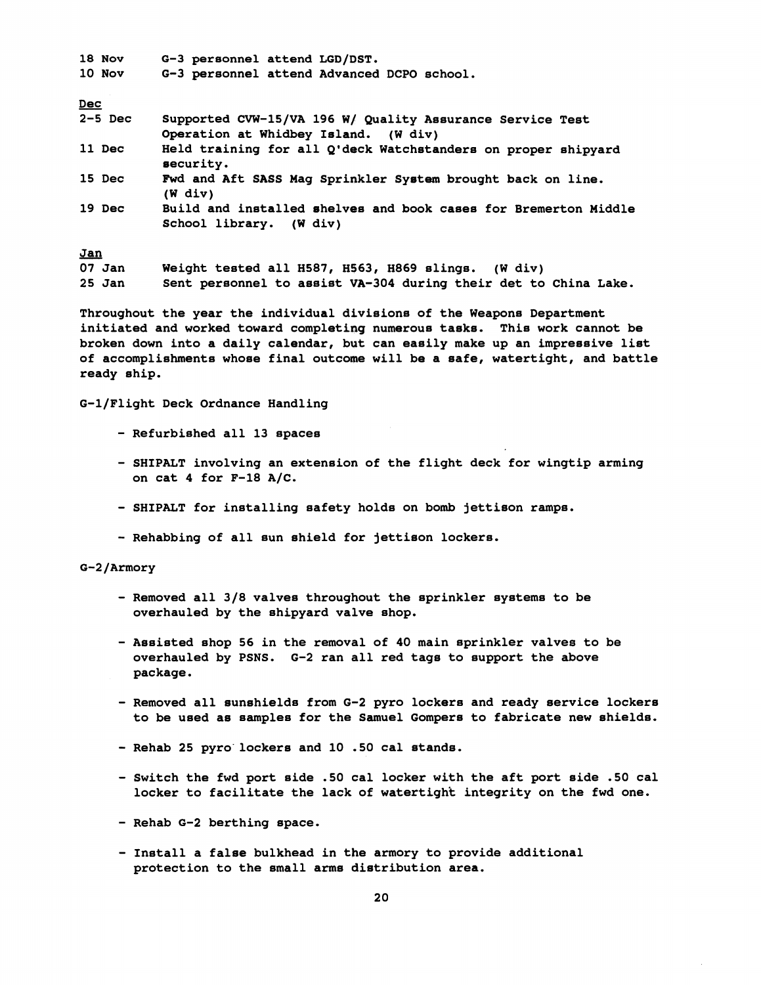| $18$ Nov<br>$10$ Nov | G-3 personnel attend LGD/DST.<br>G-3 personnel attend Advanced DCPO school.                       |
|----------------------|---------------------------------------------------------------------------------------------------|
| Dec                  |                                                                                                   |
| $2-5$ Dec            | Supported CVW-15/VA 196 W/ Quality Assurance Service Test<br>Operation at Whidbey Island. (W div) |
| 11 Dec               | Held training for all Q'deck Watchstanders on proper shipyard<br>security.                        |
| 15 Dec               | Fwd and Aft SASS Mag Sprinkler System brought back on line.<br>$(W$ div)                          |
| 19 Dec               | Build and installed shelves and book cases for Bremerton Middle<br>School library. (W div)        |
| <u>Jan</u>           |                                                                                                   |
| $07$ Jan             | Weight tested all H587, H563, H869 slings. (W div)                                                |
| $25$ Jan             | Sent personnel to assist VA-304 during their det to China Lake.                                   |

**Throughout the year the individual divisions of the Weapons Department initiated and worked toward completing numerous tasks. This work cannot be broken down into a daily calendar, bvt can easily make up an impressive list of accomplishments whoee final outcome will be a safe, watertight, and battle ready ahip.** 

**G-l/Flight Deck Ordnance Handling** 

- **Refurbished all 13 spaces**
- **SHIPALT involving an extension of the flight deck for wingtip arming on cat 4 for F-18 A/C.**
- **SHIPALT for installing safety holds on bomb jettison ramps.**
- **Rehabbing of all sun shield for jettison lockers.**

# G-2/Armory

- **Removed all 3/8 valves throughout the sprinkler eyetema to be overhauled by the shipyard valve shop.**
- **Assisted shop 56 in the removal of 40 main sprinkler valves to be overhauled by PSNS. 6-2 ran all red tags to support the above package.**
- **Removed all sunehielda from 6-2 pyro lockers and ready service lockers to be used as samples for the Samuel Gompere to fabricate new shields.**
- **Rehab 25 pyro-lockers and 10 .50 cal stands.**
- **Switch the fwd port side .50 cal locker with the aft port side .50 cal locker to facilitate the lack of watertight integrity on the fwd one.**
- **Rehab G-2 berthing space.**
- **Install a false bulkhead in the armory to provide additional protection to the small arma dietribution area.**